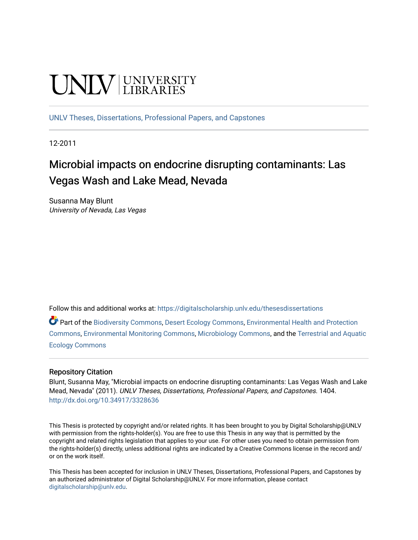# UNIV UNIVERSITY

[UNLV Theses, Dissertations, Professional Papers, and Capstones](https://digitalscholarship.unlv.edu/thesesdissertations)

12-2011

## Microbial impacts on endocrine disrupting contaminants: Las Vegas Wash and Lake Mead, Nevada

Susanna May Blunt University of Nevada, Las Vegas

Follow this and additional works at: [https://digitalscholarship.unlv.edu/thesesdissertations](https://digitalscholarship.unlv.edu/thesesdissertations?utm_source=digitalscholarship.unlv.edu%2Fthesesdissertations%2F1404&utm_medium=PDF&utm_campaign=PDFCoverPages)

Part of the [Biodiversity Commons](http://network.bepress.com/hgg/discipline/1127?utm_source=digitalscholarship.unlv.edu%2Fthesesdissertations%2F1404&utm_medium=PDF&utm_campaign=PDFCoverPages), [Desert Ecology Commons](http://network.bepress.com/hgg/discipline/1261?utm_source=digitalscholarship.unlv.edu%2Fthesesdissertations%2F1404&utm_medium=PDF&utm_campaign=PDFCoverPages), [Environmental Health and Protection](http://network.bepress.com/hgg/discipline/172?utm_source=digitalscholarship.unlv.edu%2Fthesesdissertations%2F1404&utm_medium=PDF&utm_campaign=PDFCoverPages) [Commons](http://network.bepress.com/hgg/discipline/172?utm_source=digitalscholarship.unlv.edu%2Fthesesdissertations%2F1404&utm_medium=PDF&utm_campaign=PDFCoverPages), [Environmental Monitoring Commons,](http://network.bepress.com/hgg/discipline/931?utm_source=digitalscholarship.unlv.edu%2Fthesesdissertations%2F1404&utm_medium=PDF&utm_campaign=PDFCoverPages) [Microbiology Commons](http://network.bepress.com/hgg/discipline/48?utm_source=digitalscholarship.unlv.edu%2Fthesesdissertations%2F1404&utm_medium=PDF&utm_campaign=PDFCoverPages), and the [Terrestrial and Aquatic](http://network.bepress.com/hgg/discipline/20?utm_source=digitalscholarship.unlv.edu%2Fthesesdissertations%2F1404&utm_medium=PDF&utm_campaign=PDFCoverPages)  [Ecology Commons](http://network.bepress.com/hgg/discipline/20?utm_source=digitalscholarship.unlv.edu%2Fthesesdissertations%2F1404&utm_medium=PDF&utm_campaign=PDFCoverPages) 

#### Repository Citation

Blunt, Susanna May, "Microbial impacts on endocrine disrupting contaminants: Las Vegas Wash and Lake Mead, Nevada" (2011). UNLV Theses, Dissertations, Professional Papers, and Capstones. 1404. <http://dx.doi.org/10.34917/3328636>

This Thesis is protected by copyright and/or related rights. It has been brought to you by Digital Scholarship@UNLV with permission from the rights-holder(s). You are free to use this Thesis in any way that is permitted by the copyright and related rights legislation that applies to your use. For other uses you need to obtain permission from the rights-holder(s) directly, unless additional rights are indicated by a Creative Commons license in the record and/ or on the work itself.

This Thesis has been accepted for inclusion in UNLV Theses, Dissertations, Professional Papers, and Capstones by an authorized administrator of Digital Scholarship@UNLV. For more information, please contact [digitalscholarship@unlv.edu](mailto:digitalscholarship@unlv.edu).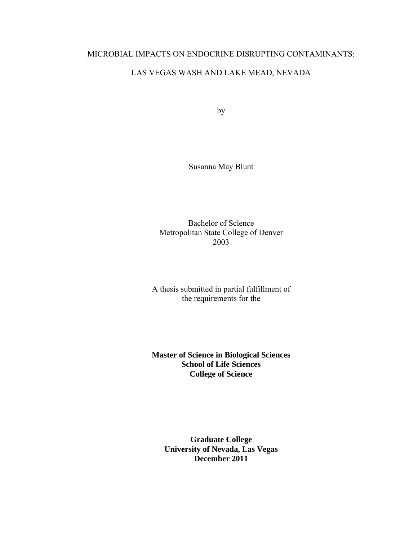### MICROBIAL IMPACTS ON ENDOCRINE DISRUPTING CONTAMINANTS:

## LAS VEGAS WASH AND LAKE MEAD, NEVADA

by

Susanna May Blunt

Bachelor of Science Metropolitan State College of Denver 2003

A thesis submitted in partial fulfillment of the requirements for the

**Master of Science in Biological Sciences School of Life Sciences College of Science** 

**Graduate College University of Nevada, Las Vegas December 2011**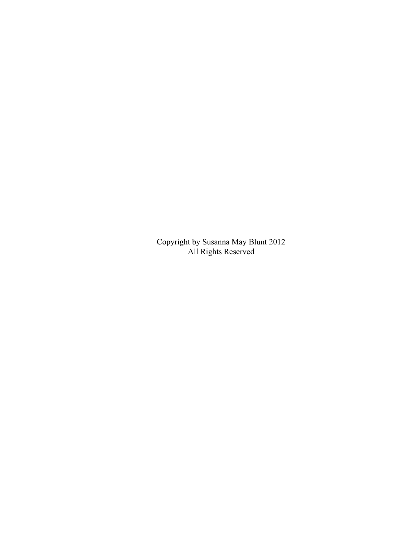Copyright by Susanna May Blunt 2012 All Rights Reserved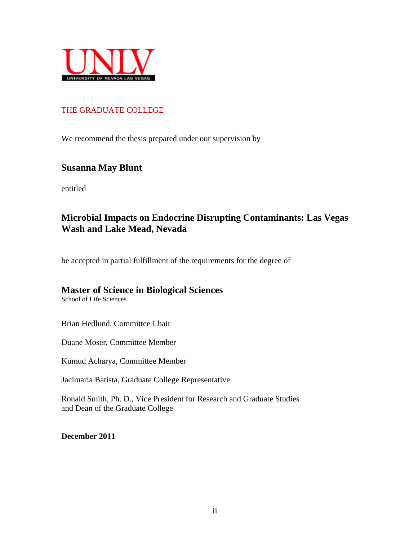

## THE GRADUATE COLLEGE

We recommend the thesis prepared under our supervision by

## **Susanna May Blunt**

entitled

## **Microbial Impacts on Endocrine Disrupting Contaminants: Las Vegas Wash and Lake Mead, Nevada**

be accepted in partial fulfillment of the requirements for the degree of

## **Master of Science in Biological Sciences**

School of Life Sciences

Brian Hedlund, Committee Chair

Duane Moser, Committee Member

Kumud Acharya, Committee Member

Jacimaria Batista, Graduate College Representative

Ronald Smith, Ph. D., Vice President for Research and Graduate Studies and Dean of the Graduate College

**December 2011**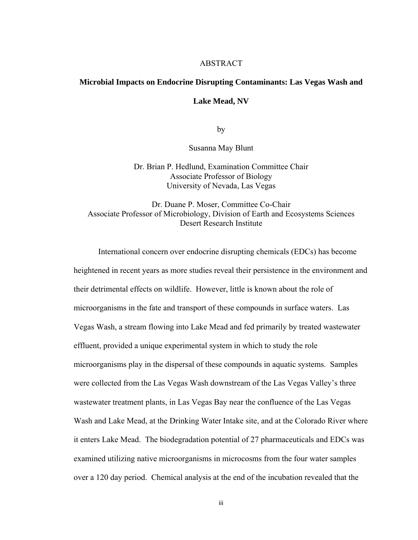#### **ABSTRACT**

## **Microbial Impacts on Endocrine Disrupting Contaminants: Las Vegas Wash and**

#### **Lake Mead, NV**

by

Susanna May Blunt

Dr. Brian P. Hedlund, Examination Committee Chair Associate Professor of Biology University of Nevada, Las Vegas

Dr. Duane P. Moser, Committee Co-Chair Associate Professor of Microbiology, Division of Earth and Ecosystems Sciences Desert Research Institute

International concern over endocrine disrupting chemicals (EDCs) has become heightened in recent years as more studies reveal their persistence in the environment and their detrimental effects on wildlife. However, little is known about the role of microorganisms in the fate and transport of these compounds in surface waters. Las Vegas Wash, a stream flowing into Lake Mead and fed primarily by treated wastewater effluent, provided a unique experimental system in which to study the role microorganisms play in the dispersal of these compounds in aquatic systems. Samples were collected from the Las Vegas Wash downstream of the Las Vegas Valley's three wastewater treatment plants, in Las Vegas Bay near the confluence of the Las Vegas Wash and Lake Mead, at the Drinking Water Intake site, and at the Colorado River where it enters Lake Mead. The biodegradation potential of 27 pharmaceuticals and EDCs was examined utilizing native microorganisms in microcosms from the four water samples over a 120 day period. Chemical analysis at the end of the incubation revealed that the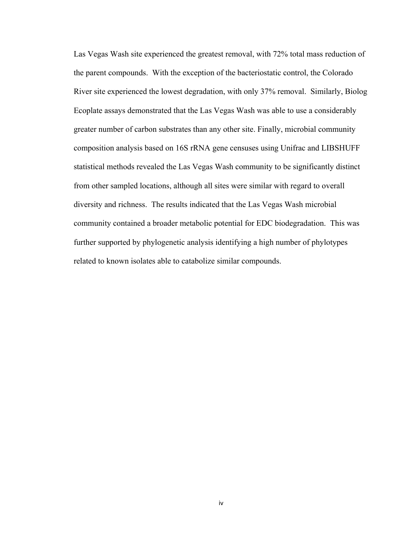Las Vegas Wash site experienced the greatest removal, with 72% total mass reduction of the parent compounds. With the exception of the bacteriostatic control, the Colorado River site experienced the lowest degradation, with only 37% removal. Similarly, Biolog Ecoplate assays demonstrated that the Las Vegas Wash was able to use a considerably greater number of carbon substrates than any other site. Finally, microbial community composition analysis based on 16S rRNA gene censuses using Unifrac and LIBSHUFF statistical methods revealed the Las Vegas Wash community to be significantly distinct from other sampled locations, although all sites were similar with regard to overall diversity and richness. The results indicated that the Las Vegas Wash microbial community contained a broader metabolic potential for EDC biodegradation. This was further supported by phylogenetic analysis identifying a high number of phylotypes related to known isolates able to catabolize similar compounds.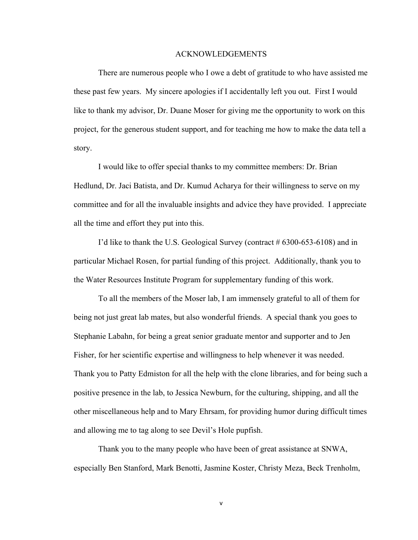#### ACKNOWLEDGEMENTS

There are numerous people who I owe a debt of gratitude to who have assisted me these past few years. My sincere apologies if I accidentally left you out. First I would like to thank my advisor, Dr. Duane Moser for giving me the opportunity to work on this project, for the generous student support, and for teaching me how to make the data tell a story.

I would like to offer special thanks to my committee members: Dr. Brian Hedlund, Dr. Jaci Batista, and Dr. Kumud Acharya for their willingness to serve on my committee and for all the invaluable insights and advice they have provided. I appreciate all the time and effort they put into this.

I'd like to thank the U.S. Geological Survey (contract # 6300-653-6108) and in particular Michael Rosen, for partial funding of this project. Additionally, thank you to the Water Resources Institute Program for supplementary funding of this work.

To all the members of the Moser lab, I am immensely grateful to all of them for being not just great lab mates, but also wonderful friends. A special thank you goes to Stephanie Labahn, for being a great senior graduate mentor and supporter and to Jen Fisher, for her scientific expertise and willingness to help whenever it was needed. Thank you to Patty Edmiston for all the help with the clone libraries, and for being such a positive presence in the lab, to Jessica Newburn, for the culturing, shipping, and all the other miscellaneous help and to Mary Ehrsam, for providing humor during difficult times and allowing me to tag along to see Devil's Hole pupfish.

Thank you to the many people who have been of great assistance at SNWA, especially Ben Stanford, Mark Benotti, Jasmine Koster, Christy Meza, Beck Trenholm,

v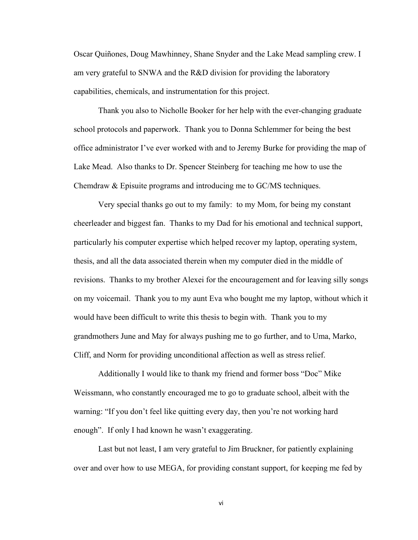Oscar Quiñones, Doug Mawhinney, Shane Snyder and the Lake Mead sampling crew. I am very grateful to SNWA and the R&D division for providing the laboratory capabilities, chemicals, and instrumentation for this project.

Thank you also to Nicholle Booker for her help with the ever-changing graduate school protocols and paperwork. Thank you to Donna Schlemmer for being the best office administrator I've ever worked with and to Jeremy Burke for providing the map of Lake Mead. Also thanks to Dr. Spencer Steinberg for teaching me how to use the Chemdraw & Episuite programs and introducing me to GC/MS techniques.

Very special thanks go out to my family: to my Mom, for being my constant cheerleader and biggest fan. Thanks to my Dad for his emotional and technical support, particularly his computer expertise which helped recover my laptop, operating system, thesis, and all the data associated therein when my computer died in the middle of revisions. Thanks to my brother Alexei for the encouragement and for leaving silly songs on my voicemail. Thank you to my aunt Eva who bought me my laptop, without which it would have been difficult to write this thesis to begin with. Thank you to my grandmothers June and May for always pushing me to go further, and to Uma, Marko, Cliff, and Norm for providing unconditional affection as well as stress relief.

Additionally I would like to thank my friend and former boss "Doc" Mike Weissmann, who constantly encouraged me to go to graduate school, albeit with the warning: "If you don't feel like quitting every day, then you're not working hard enough". If only I had known he wasn't exaggerating.

Last but not least, I am very grateful to Jim Bruckner, for patiently explaining over and over how to use MEGA, for providing constant support, for keeping me fed by

vi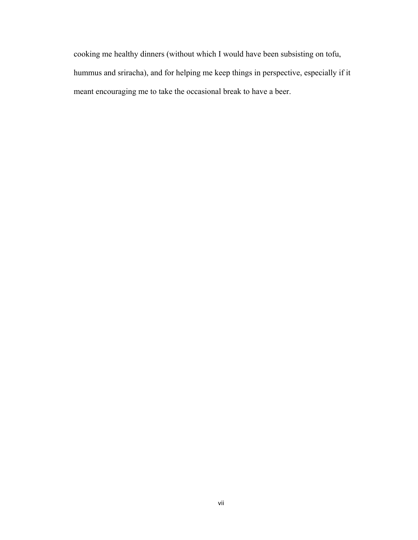cooking me healthy dinners (without which I would have been subsisting on tofu, hummus and sriracha), and for helping me keep things in perspective, especially if it meant encouraging me to take the occasional break to have a beer.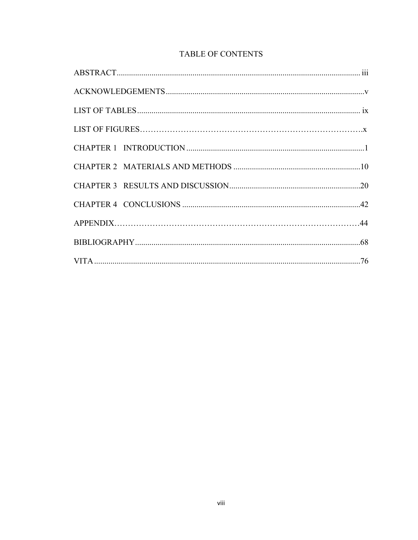## TABLE OF CONTENTS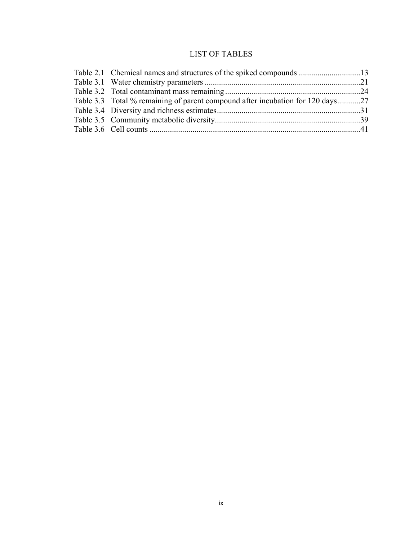## LIST OF TABLES

| Table 3.3 Total % remaining of parent compound after incubation for 120 days27 |
|--------------------------------------------------------------------------------|
|                                                                                |
|                                                                                |
|                                                                                |
|                                                                                |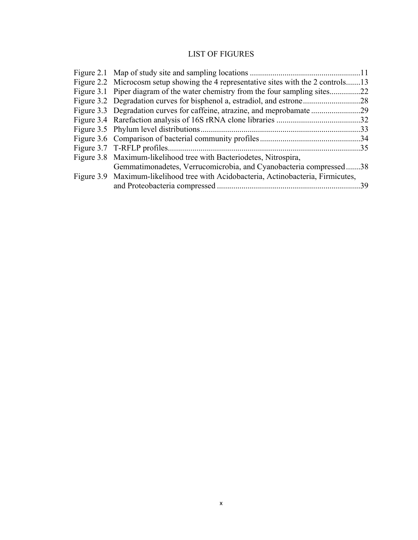## LIST OF FIGURES

| Figure 2.2 Microcosm setup showing the 4 representative sites with the 2 controls13 |     |
|-------------------------------------------------------------------------------------|-----|
| Figure 3.1 Piper diagram of the water chemistry from the four sampling sites        | .22 |
|                                                                                     | .28 |
|                                                                                     | -29 |
|                                                                                     | 32  |
|                                                                                     | 33  |
|                                                                                     |     |
|                                                                                     | .35 |
| Figure 3.8 Maximum-likelihood tree with Bacteriodetes, Nitrospira,                  |     |
| Gemmatimonadetes, Verrucomicrobia, and Cyanobacteria compressed38                   |     |
| Figure 3.9 Maximum-likelihood tree with Acidobacteria, Actinobacteria, Firmicutes,  |     |
|                                                                                     | 39  |
|                                                                                     |     |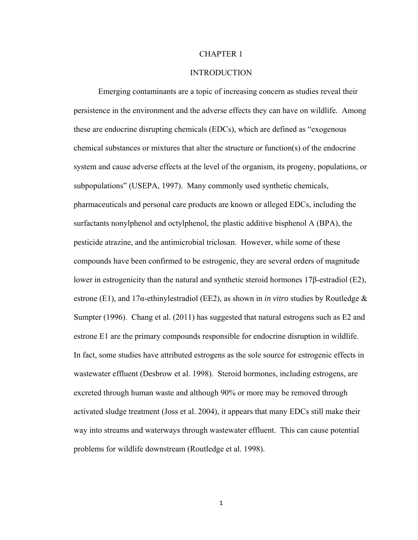#### CHAPTER 1

#### INTRODUCTION

Emerging contaminants are a topic of increasing concern as studies reveal their persistence in the environment and the adverse effects they can have on wildlife. Among these are endocrine disrupting chemicals (EDCs), which are defined as "exogenous chemical substances or mixtures that alter the structure or function(s) of the endocrine system and cause adverse effects at the level of the organism, its progeny, populations, or subpopulations" (USEPA, 1997). Many commonly used synthetic chemicals, pharmaceuticals and personal care products are known or alleged EDCs, including the surfactants nonylphenol and octylphenol, the plastic additive bisphenol A (BPA), the pesticide atrazine, and the antimicrobial triclosan. However, while some of these compounds have been confirmed to be estrogenic, they are several orders of magnitude lower in estrogenicity than the natural and synthetic steroid hormones 17β-estradiol (E2), estrone (E1), and 17α-ethinylestradiol (EE2), as shown in *in vitro* studies by Routledge & Sumpter (1996). Chang et al. (2011) has suggested that natural estrogens such as E2 and estrone E1 are the primary compounds responsible for endocrine disruption in wildlife. In fact, some studies have attributed estrogens as the sole source for estrogenic effects in wastewater effluent (Desbrow et al. 1998). Steroid hormones, including estrogens, are excreted through human waste and although 90% or more may be removed through activated sludge treatment (Joss et al. 2004), it appears that many EDCs still make their way into streams and waterways through wastewater effluent. This can cause potential problems for wildlife downstream (Routledge et al. 1998).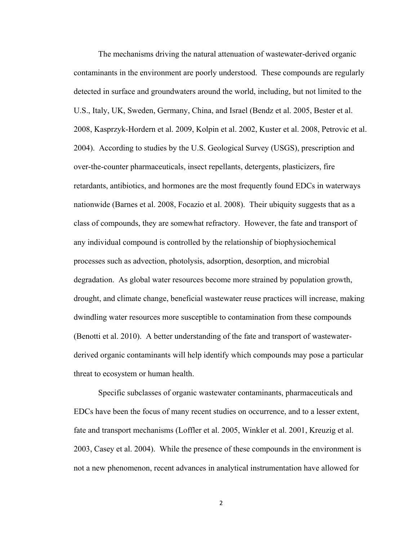The mechanisms driving the natural attenuation of wastewater-derived organic contaminants in the environment are poorly understood. These compounds are regularly detected in surface and groundwaters around the world, including, but not limited to the U.S., Italy, UK, Sweden, Germany, China, and Israel (Bendz et al. 2005, Bester et al. 2008, Kasprzyk-Hordern et al. 2009, Kolpin et al. 2002, Kuster et al. 2008, Petrovic et al. 2004). According to studies by the U.S. Geological Survey (USGS), prescription and over-the-counter pharmaceuticals, insect repellants, detergents, plasticizers, fire retardants, antibiotics, and hormones are the most frequently found EDCs in waterways nationwide (Barnes et al. 2008, Focazio et al. 2008). Their ubiquity suggests that as a class of compounds, they are somewhat refractory. However, the fate and transport of any individual compound is controlled by the relationship of biophysiochemical processes such as advection, photolysis, adsorption, desorption, and microbial degradation. As global water resources become more strained by population growth, drought, and climate change, beneficial wastewater reuse practices will increase, making dwindling water resources more susceptible to contamination from these compounds (Benotti et al. 2010). A better understanding of the fate and transport of wastewaterderived organic contaminants will help identify which compounds may pose a particular threat to ecosystem or human health.

 Specific subclasses of organic wastewater contaminants, pharmaceuticals and EDCs have been the focus of many recent studies on occurrence, and to a lesser extent, fate and transport mechanisms (Loffler et al. 2005, Winkler et al. 2001, Kreuzig et al. 2003, Casey et al. 2004). While the presence of these compounds in the environment is not a new phenomenon, recent advances in analytical instrumentation have allowed for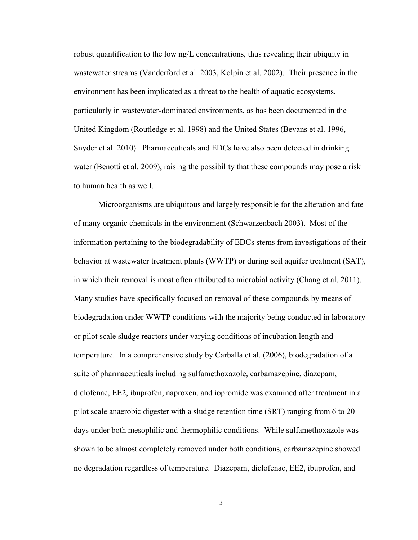robust quantification to the low ng/L concentrations, thus revealing their ubiquity in wastewater streams (Vanderford et al. 2003, Kolpin et al. 2002). Their presence in the environment has been implicated as a threat to the health of aquatic ecosystems, particularly in wastewater-dominated environments, as has been documented in the United Kingdom (Routledge et al. 1998) and the United States (Bevans et al. 1996, Snyder et al. 2010). Pharmaceuticals and EDCs have also been detected in drinking water (Benotti et al. 2009), raising the possibility that these compounds may pose a risk to human health as well.

Microorganisms are ubiquitous and largely responsible for the alteration and fate of many organic chemicals in the environment (Schwarzenbach 2003). Most of the information pertaining to the biodegradability of EDCs stems from investigations of their behavior at wastewater treatment plants (WWTP) or during soil aquifer treatment (SAT), in which their removal is most often attributed to microbial activity (Chang et al. 2011). Many studies have specifically focused on removal of these compounds by means of biodegradation under WWTP conditions with the majority being conducted in laboratory or pilot scale sludge reactors under varying conditions of incubation length and temperature. In a comprehensive study by Carballa et al. (2006), biodegradation of a suite of pharmaceuticals including sulfamethoxazole, carbamazepine, diazepam, diclofenac, EE2, ibuprofen, naproxen, and iopromide was examined after treatment in a pilot scale anaerobic digester with a sludge retention time (SRT) ranging from 6 to 20 days under both mesophilic and thermophilic conditions. While sulfamethoxazole was shown to be almost completely removed under both conditions, carbamazepine showed no degradation regardless of temperature. Diazepam, diclofenac, EE2, ibuprofen, and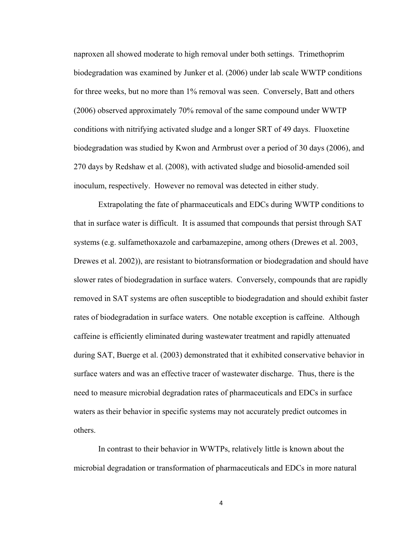naproxen all showed moderate to high removal under both settings. Trimethoprim biodegradation was examined by Junker et al. (2006) under lab scale WWTP conditions for three weeks, but no more than 1% removal was seen. Conversely, Batt and others (2006) observed approximately 70% removal of the same compound under WWTP conditions with nitrifying activated sludge and a longer SRT of 49 days. Fluoxetine biodegradation was studied by Kwon and Armbrust over a period of 30 days (2006), and 270 days by Redshaw et al. (2008), with activated sludge and biosolid-amended soil inoculum, respectively. However no removal was detected in either study.

 Extrapolating the fate of pharmaceuticals and EDCs during WWTP conditions to that in surface water is difficult. It is assumed that compounds that persist through SAT systems (e.g. sulfamethoxazole and carbamazepine, among others (Drewes et al. 2003, Drewes et al. 2002)), are resistant to biotransformation or biodegradation and should have slower rates of biodegradation in surface waters. Conversely, compounds that are rapidly removed in SAT systems are often susceptible to biodegradation and should exhibit faster rates of biodegradation in surface waters. One notable exception is caffeine. Although caffeine is efficiently eliminated during wastewater treatment and rapidly attenuated during SAT, Buerge et al. (2003) demonstrated that it exhibited conservative behavior in surface waters and was an effective tracer of wastewater discharge. Thus, there is the need to measure microbial degradation rates of pharmaceuticals and EDCs in surface waters as their behavior in specific systems may not accurately predict outcomes in others.

In contrast to their behavior in WWTPs, relatively little is known about the microbial degradation or transformation of pharmaceuticals and EDCs in more natural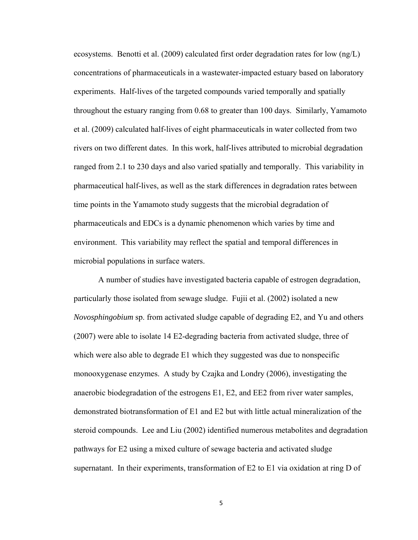ecosystems. Benotti et al. (2009) calculated first order degradation rates for low (ng/L) concentrations of pharmaceuticals in a wastewater-impacted estuary based on laboratory experiments. Half-lives of the targeted compounds varied temporally and spatially throughout the estuary ranging from 0.68 to greater than 100 days. Similarly, Yamamoto et al. (2009) calculated half-lives of eight pharmaceuticals in water collected from two rivers on two different dates. In this work, half-lives attributed to microbial degradation ranged from 2.1 to 230 days and also varied spatially and temporally. This variability in pharmaceutical half-lives, as well as the stark differences in degradation rates between time points in the Yamamoto study suggests that the microbial degradation of pharmaceuticals and EDCs is a dynamic phenomenon which varies by time and environment. This variability may reflect the spatial and temporal differences in microbial populations in surface waters.

A number of studies have investigated bacteria capable of estrogen degradation, particularly those isolated from sewage sludge. Fujii et al. (2002) isolated a new *Novosphingobium* sp. from activated sludge capable of degrading E2, and Yu and others (2007) were able to isolate 14 E2-degrading bacteria from activated sludge, three of which were also able to degrade E1 which they suggested was due to nonspecific monooxygenase enzymes. A study by Czajka and Londry (2006), investigating the anaerobic biodegradation of the estrogens E1, E2, and EE2 from river water samples, demonstrated biotransformation of E1 and E2 but with little actual mineralization of the steroid compounds. Lee and Liu (2002) identified numerous metabolites and degradation pathways for E2 using a mixed culture of sewage bacteria and activated sludge supernatant. In their experiments, transformation of E2 to E1 via oxidation at ring D of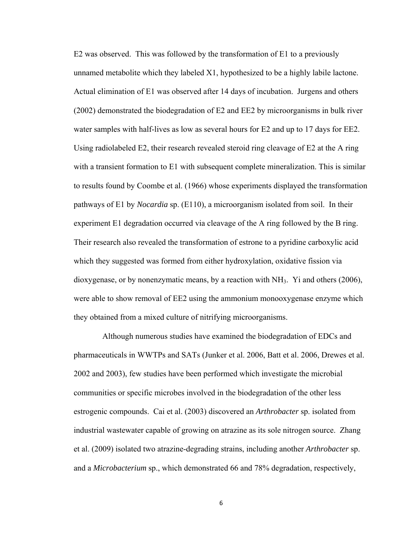E2 was observed. This was followed by the transformation of E1 to a previously unnamed metabolite which they labeled X1, hypothesized to be a highly labile lactone. Actual elimination of E1 was observed after 14 days of incubation. Jurgens and others (2002) demonstrated the biodegradation of E2 and EE2 by microorganisms in bulk river water samples with half-lives as low as several hours for E2 and up to 17 days for EE2. Using radiolabeled E2, their research revealed steroid ring cleavage of E2 at the A ring with a transient formation to E1 with subsequent complete mineralization. This is similar to results found by Coombe et al. (1966) whose experiments displayed the transformation pathways of E1 by *Nocardia* sp. (E110), a microorganism isolated from soil. In their experiment E1 degradation occurred via cleavage of the A ring followed by the B ring. Their research also revealed the transformation of estrone to a pyridine carboxylic acid which they suggested was formed from either hydroxylation, oxidative fission via dioxygenase, or by nonenzymatic means, by a reaction with  $NH<sub>3</sub>$ . Yi and others (2006), were able to show removal of EE2 using the ammonium monooxygenase enzyme which they obtained from a mixed culture of nitrifying microorganisms.

 Although numerous studies have examined the biodegradation of EDCs and pharmaceuticals in WWTPs and SATs (Junker et al. 2006, Batt et al. 2006, Drewes et al. 2002 and 2003), few studies have been performed which investigate the microbial communities or specific microbes involved in the biodegradation of the other less estrogenic compounds. Cai et al. (2003) discovered an *Arthrobacter* sp. isolated from industrial wastewater capable of growing on atrazine as its sole nitrogen source. Zhang et al. (2009) isolated two atrazine-degrading strains, including another *Arthrobacter* sp. and a *Microbacterium* sp., which demonstrated 66 and 78% degradation, respectively,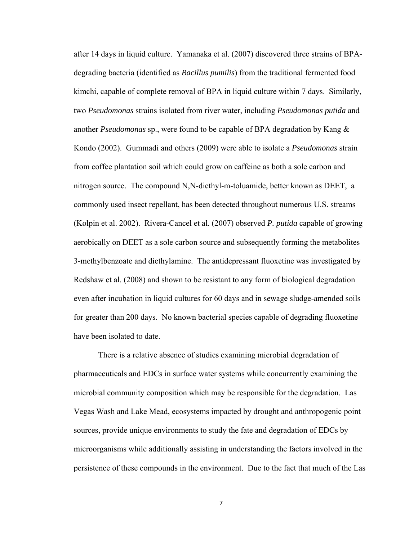after 14 days in liquid culture. Yamanaka et al. (2007) discovered three strains of BPAdegrading bacteria (identified as *Bacillus pumilis*) from the traditional fermented food kimchi, capable of complete removal of BPA in liquid culture within 7 days. Similarly, two *Pseudomonas* strains isolated from river water, including *Pseudomonas putida* and another *Pseudomonas* sp., were found to be capable of BPA degradation by Kang & Kondo (2002). Gummadi and others (2009) were able to isolate a *Pseudomonas* strain from coffee plantation soil which could grow on caffeine as both a sole carbon and nitrogen source. The compound N,N-diethyl-m-toluamide, better known as DEET, a commonly used insect repellant, has been detected throughout numerous U.S. streams (Kolpin et al. 2002). Rivera-Cancel et al. (2007) observed *P. putida* capable of growing aerobically on DEET as a sole carbon source and subsequently forming the metabolites 3-methylbenzoate and diethylamine. The antidepressant fluoxetine was investigated by Redshaw et al. (2008) and shown to be resistant to any form of biological degradation even after incubation in liquid cultures for 60 days and in sewage sludge-amended soils for greater than 200 days. No known bacterial species capable of degrading fluoxetine have been isolated to date.

There is a relative absence of studies examining microbial degradation of pharmaceuticals and EDCs in surface water systems while concurrently examining the microbial community composition which may be responsible for the degradation. Las Vegas Wash and Lake Mead, ecosystems impacted by drought and anthropogenic point sources, provide unique environments to study the fate and degradation of EDCs by microorganisms while additionally assisting in understanding the factors involved in the persistence of these compounds in the environment. Due to the fact that much of the Las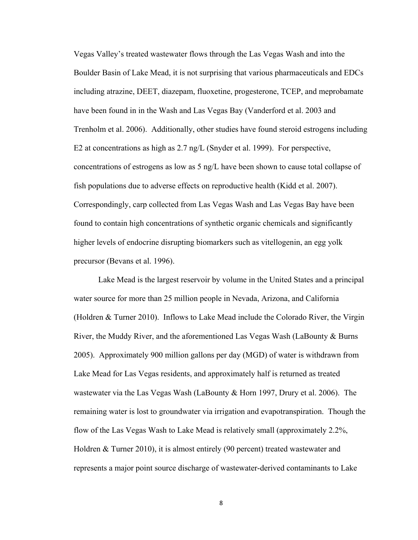Vegas Valley's treated wastewater flows through the Las Vegas Wash and into the Boulder Basin of Lake Mead, it is not surprising that various pharmaceuticals and EDCs including atrazine, DEET, diazepam, fluoxetine, progesterone, TCEP, and meprobamate have been found in in the Wash and Las Vegas Bay (Vanderford et al. 2003 and Trenholm et al. 2006). Additionally, other studies have found steroid estrogens including E2 at concentrations as high as 2.7 ng/L (Snyder et al. 1999). For perspective, concentrations of estrogens as low as 5 ng/L have been shown to cause total collapse of fish populations due to adverse effects on reproductive health (Kidd et al. 2007). Correspondingly, carp collected from Las Vegas Wash and Las Vegas Bay have been found to contain high concentrations of synthetic organic chemicals and significantly higher levels of endocrine disrupting biomarkers such as vitellogenin, an egg yolk precursor (Bevans et al. 1996).

Lake Mead is the largest reservoir by volume in the United States and a principal water source for more than 25 million people in Nevada, Arizona, and California (Holdren & Turner 2010). Inflows to Lake Mead include the Colorado River, the Virgin River, the Muddy River, and the aforementioned Las Vegas Wash (LaBounty & Burns 2005). Approximately 900 million gallons per day (MGD) of water is withdrawn from Lake Mead for Las Vegas residents, and approximately half is returned as treated wastewater via the Las Vegas Wash (LaBounty & Horn 1997, Drury et al. 2006). The remaining water is lost to groundwater via irrigation and evapotranspiration. Though the flow of the Las Vegas Wash to Lake Mead is relatively small (approximately 2.2%, Holdren & Turner 2010), it is almost entirely (90 percent) treated wastewater and represents a major point source discharge of wastewater-derived contaminants to Lake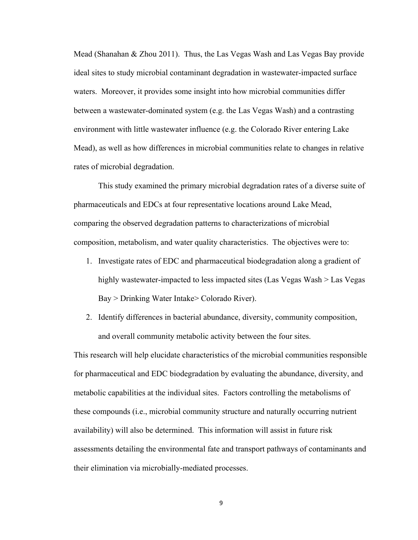Mead (Shanahan & Zhou 2011). Thus, the Las Vegas Wash and Las Vegas Bay provide ideal sites to study microbial contaminant degradation in wastewater-impacted surface waters. Moreover, it provides some insight into how microbial communities differ between a wastewater-dominated system (e.g. the Las Vegas Wash) and a contrasting environment with little wastewater influence (e.g. the Colorado River entering Lake Mead), as well as how differences in microbial communities relate to changes in relative rates of microbial degradation.

 This study examined the primary microbial degradation rates of a diverse suite of pharmaceuticals and EDCs at four representative locations around Lake Mead, comparing the observed degradation patterns to characterizations of microbial composition, metabolism, and water quality characteristics. The objectives were to:

- 1. Investigate rates of EDC and pharmaceutical biodegradation along a gradient of highly wastewater-impacted to less impacted sites (Las Vegas Wash > Las Vegas Bay > Drinking Water Intake> Colorado River).
- 2. Identify differences in bacterial abundance, diversity, community composition, and overall community metabolic activity between the four sites.

This research will help elucidate characteristics of the microbial communities responsible for pharmaceutical and EDC biodegradation by evaluating the abundance, diversity, and metabolic capabilities at the individual sites. Factors controlling the metabolisms of these compounds (i.e., microbial community structure and naturally occurring nutrient availability) will also be determined. This information will assist in future risk assessments detailing the environmental fate and transport pathways of contaminants and their elimination via microbially-mediated processes.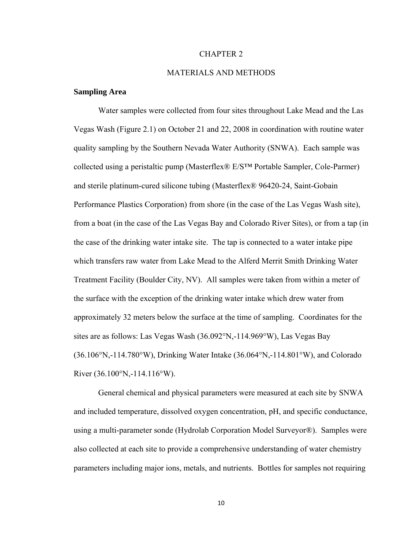#### CHAPTER 2

#### MATERIALS AND METHODS

#### **Sampling Area**

Water samples were collected from four sites throughout Lake Mead and the Las Vegas Wash (Figure 2.1) on October 21 and 22, 2008 in coordination with routine water quality sampling by the Southern Nevada Water Authority (SNWA). Each sample was collected using a peristaltic pump (Masterflex® E/S™ Portable Sampler, Cole-Parmer) and sterile platinum-cured silicone tubing (Masterflex® 96420-24, Saint-Gobain Performance Plastics Corporation) from shore (in the case of the Las Vegas Wash site), from a boat (in the case of the Las Vegas Bay and Colorado River Sites), or from a tap (in the case of the drinking water intake site. The tap is connected to a water intake pipe which transfers raw water from Lake Mead to the Alferd Merrit Smith Drinking Water Treatment Facility (Boulder City, NV). All samples were taken from within a meter of the surface with the exception of the drinking water intake which drew water from approximately 32 meters below the surface at the time of sampling. Coordinates for the sites are as follows: Las Vegas Wash (36.092°N,-114.969°W), Las Vegas Bay (36.106°N,-114.780°W), Drinking Water Intake (36.064°N,-114.801°W), and Colorado River (36.100°N,-114.116°W).

General chemical and physical parameters were measured at each site by SNWA and included temperature, dissolved oxygen concentration, pH, and specific conductance, using a multi-parameter sonde (Hydrolab Corporation Model Surveyor®). Samples were also collected at each site to provide a comprehensive understanding of water chemistry parameters including major ions, metals, and nutrients. Bottles for samples not requiring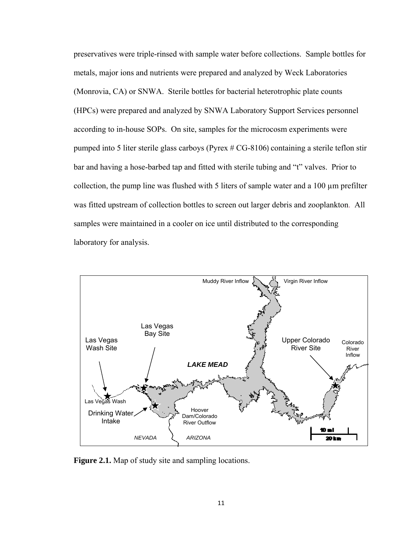preservatives were triple-rinsed with sample water before collections. Sample bottles for metals, major ions and nutrients were prepared and analyzed by Weck Laboratories (Monrovia, CA) or SNWA. Sterile bottles for bacterial heterotrophic plate counts (HPCs) were prepared and analyzed by SNWA Laboratory Support Services personnel according to in-house SOPs. On site, samples for the microcosm experiments were pumped into 5 liter sterile glass carboys (Pyrex # CG-8106) containing a sterile teflon stir bar and having a hose-barbed tap and fitted with sterile tubing and "t" valves. Prior to collection, the pump line was flushed with 5 liters of sample water and a 100 µm prefilter was fitted upstream of collection bottles to screen out larger debris and zooplankton. All samples were maintained in a cooler on ice until distributed to the corresponding laboratory for analysis.



**Figure 2.1.** Map of study site and sampling locations.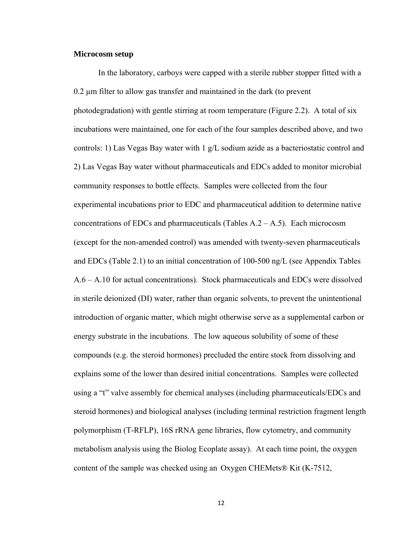#### **Microcosm setup**

In the laboratory, carboys were capped with a sterile rubber stopper fitted with a 0.2 µm filter to allow gas transfer and maintained in the dark (to prevent photodegradation) with gentle stirring at room temperature (Figure 2.2). A total of six incubations were maintained, one for each of the four samples described above, and two controls: 1) Las Vegas Bay water with 1 g/L sodium azide as a bacteriostatic control and 2) Las Vegas Bay water without pharmaceuticals and EDCs added to monitor microbial community responses to bottle effects. Samples were collected from the four experimental incubations prior to EDC and pharmaceutical addition to determine native concentrations of EDCs and pharmaceuticals (Tables  $A.2 - A.5$ ). Each microcosm (except for the non-amended control) was amended with twenty-seven pharmaceuticals and EDCs (Table 2.1) to an initial concentration of 100-500 ng/L (see Appendix Tables A.6 – A.10 for actual concentrations). Stock pharmaceuticals and EDCs were dissolved in sterile deionized (DI) water, rather than organic solvents, to prevent the unintentional introduction of organic matter, which might otherwise serve as a supplemental carbon or energy substrate in the incubations. The low aqueous solubility of some of these compounds (e.g. the steroid hormones) precluded the entire stock from dissolving and explains some of the lower than desired initial concentrations. Samples were collected using a "t" valve assembly for chemical analyses (including pharmaceuticals/EDCs and steroid hormones) and biological analyses (including terminal restriction fragment length polymorphism (T-RFLP), 16S rRNA gene libraries, flow cytometry, and community metabolism analysis using the Biolog Ecoplate assay). At each time point, the oxygen content of the sample was checked using an Oxygen CHEMets® Kit (K-7512,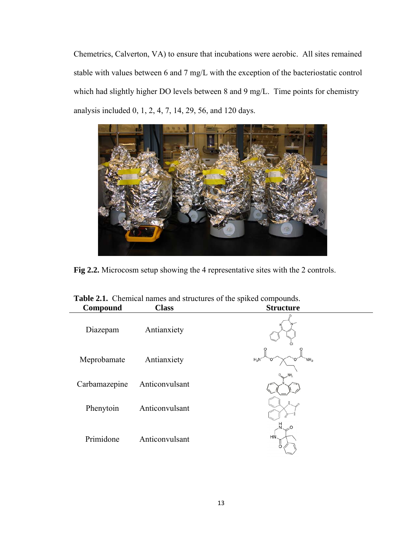Chemetrics, Calverton, VA) to ensure that incubations were aerobic. All sites remained stable with values between 6 and 7 mg/L with the exception of the bacteriostatic control which had slightly higher DO levels between 8 and 9 mg/L. Time points for chemistry analysis included 0, 1, 2, 4, 7, 14, 29, 56, and 120 days.



**Fig 2.2.** Microcosm setup showing the 4 representative sites with the 2 controls.

| Compound      | - - -<br>.<br><b>Class</b> | <b>Structure</b>          |
|---------------|----------------------------|---------------------------|
| Diazepam      | Antianxiety                |                           |
| Meprobamate   | Antianxiety                | $H_2N$<br>NH <sub>2</sub> |
| Carbamazepine | Anticonvulsant             |                           |
| Phenytoin     | Anticonvulsant             |                           |
| Primidone     | Anticonvulsant             | O<br>HŃ                   |

**Table 2.1.** Chemical names and structures of the spiked compounds.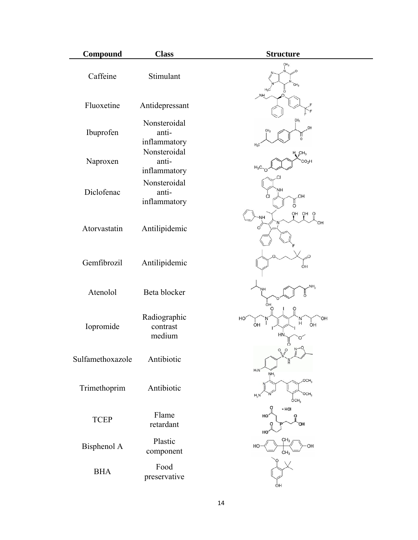| Compound         | <b>Class</b>                                          | <b>Structure</b>                                                                     |
|------------------|-------------------------------------------------------|--------------------------------------------------------------------------------------|
| Caffeine         | Stimulant                                             | CH <sub>3</sub><br>$H_3C$<br>ö<br><b>NH</b>                                          |
| Fluoxetine       | Antidepressant                                        |                                                                                      |
| Ibuprofen        | Nonsteroidal<br>anti-<br>inflammatory<br>Nonsteroidal | CH <sub>3</sub><br>OH<br>n                                                           |
| Naproxen         | anti-<br>inflammatory                                 | $H_{\bullet}$ CH <sub>3</sub><br>CO <sub>2</sub> H                                   |
| Diclofenac       | Nonsteroidal<br>anti-<br>inflammatory                 | NН<br>.OH<br>СI<br>ő                                                                 |
| Atorvastatin     | Antilipidemic                                         | OH OH O<br>∩                                                                         |
| Gemfibrozil      | Antilipidemic                                         | OН                                                                                   |
| Atenolol         | Beta blocker                                          | ΝH,<br>ÒН                                                                            |
| Iopromide        | Radiographic<br>contrast<br>medium                    | O<br>HO <sub>.</sub><br>OH<br>N<br>$\overline{H}$<br>T<br>O <sub>H</sub><br>OH<br>H٧ |
| Sulfamethoxazole | Antibiotic                                            | $Q$ $Q$<br>$H_2N$                                                                    |
| Trimethoprim     | Antibiotic                                            | OCH <sub>3</sub><br>OCH <sub>3</sub><br>$H_2N$<br>ÓCH,                               |
| <b>TCEP</b>      | Flame<br>retardant                                    | $-$ HCI<br>HO<br>HO                                                                  |
| Bisphenol A      | Plastic<br>component                                  | HC<br>OН<br>CH <sub>3</sub>                                                          |
| <b>BHA</b>       | Food<br>preservative                                  | OH                                                                                   |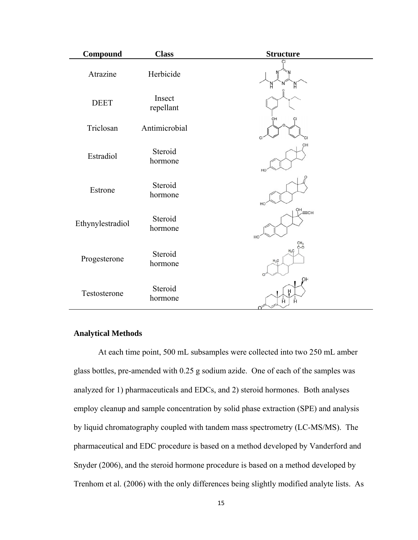| Compound         | <b>Class</b>        | <b>Structure</b>                    |
|------------------|---------------------|-------------------------------------|
| Atrazine         | Herbicide           |                                     |
| <b>DEET</b>      | Insect<br>repellant |                                     |
| Triclosan        | Antimicrobial       | он                                  |
| Estradiol        | Steroid<br>hormone  | HO                                  |
| Estrone          | Steroid<br>hormone  | HO                                  |
| Ethynylestradiol | Steroid<br>hormone  | $R^{\text{CH}}_{\text{C}}$ CH<br>HC |
| Progesterone     | Steroid<br>hormone  | C-0<br>$H_3C$<br>$H_3C$             |
| Testosterone     | Steroid<br>hormone  | OН<br>Ā<br>Ē                        |

#### **Analytical Methods**

At each time point, 500 mL subsamples were collected into two 250 mL amber glass bottles, pre-amended with 0.25 g sodium azide. One of each of the samples was analyzed for 1) pharmaceuticals and EDCs, and 2) steroid hormones. Both analyses employ cleanup and sample concentration by solid phase extraction (SPE) and analysis by liquid chromatography coupled with tandem mass spectrometry (LC-MS/MS).The pharmaceutical and EDC procedure is based on a method developed by Vanderford and Snyder (2006), and the steroid hormone procedure is based on a method developed by Trenhom et al. (2006) with the only differences being slightly modified analyte lists. As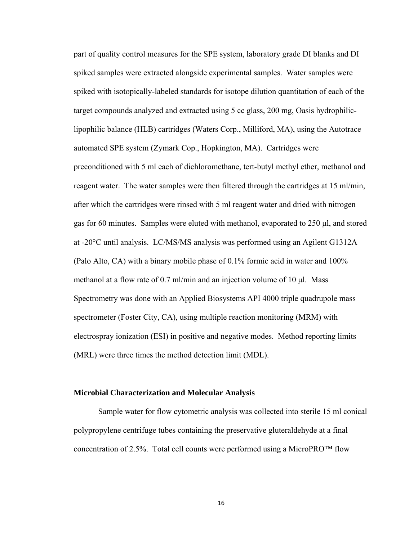part of quality control measures for the SPE system, laboratory grade DI blanks and DI spiked samples were extracted alongside experimental samples. Water samples were spiked with isotopically-labeled standards for isotope dilution quantitation of each of the target compounds analyzed and extracted using 5 cc glass, 200 mg, Oasis hydrophiliclipophilic balance (HLB) cartridges (Waters Corp., Milliford, MA), using the Autotrace automated SPE system (Zymark Cop., Hopkington, MA). Cartridges were preconditioned with 5 ml each of dichloromethane, tert-butyl methyl ether, methanol and reagent water. The water samples were then filtered through the cartridges at 15 ml/min, after which the cartridges were rinsed with 5 ml reagent water and dried with nitrogen gas for 60 minutes. Samples were eluted with methanol, evaporated to 250 μl, and stored at -20°C until analysis. LC/MS/MS analysis was performed using an Agilent G1312A (Palo Alto, CA) with a binary mobile phase of 0.1% formic acid in water and 100% methanol at a flow rate of 0.7 ml/min and an injection volume of 10 μl. Mass Spectrometry was done with an Applied Biosystems API 4000 triple quadrupole mass spectrometer (Foster City, CA), using multiple reaction monitoring (MRM) with electrospray ionization (ESI) in positive and negative modes. Method reporting limits (MRL) were three times the method detection limit (MDL).

#### **Microbial Characterization and Molecular Analysis**

Sample water for flow cytometric analysis was collected into sterile 15 ml conical polypropylene centrifuge tubes containing the preservative gluteraldehyde at a final concentration of 2.5%. Total cell counts were performed using a MicroPRO™ flow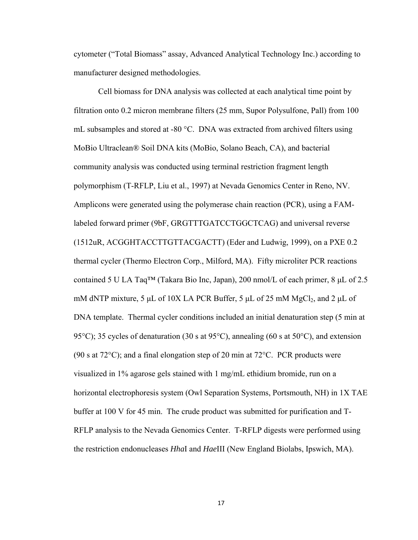cytometer ("Total Biomass" assay, Advanced Analytical Technology Inc.) according to manufacturer designed methodologies.

Cell biomass for DNA analysis was collected at each analytical time point by filtration onto 0.2 micron membrane filters (25 mm, Supor Polysulfone, Pall) from 100 mL subsamples and stored at -80 °C. DNA was extracted from archived filters using MoBio Ultraclean® Soil DNA kits (MoBio, Solano Beach, CA), and bacterial community analysis was conducted using terminal restriction fragment length polymorphism (T-RFLP, Liu et al., 1997) at Nevada Genomics Center in Reno, NV. Amplicons were generated using the polymerase chain reaction (PCR), using a FAMlabeled forward primer (9bF, GRGTTTGATCCTGGCTCAG) and universal reverse (1512uR, ACGGHTACCTTGTTACGACTT) (Eder and Ludwig, 1999), on a PXE 0.2 thermal cycler (Thermo Electron Corp., Milford, MA). Fifty microliter PCR reactions contained 5 U LA Taq™ (Takara Bio Inc, Japan), 200 nmol/L of each primer, 8 μL of 2.5 mM dNTP mixture, 5 μL of 10X LA PCR Buffer, 5 μL of 25 mM MgCl<sub>2</sub>, and 2 μL of DNA template. Thermal cycler conditions included an initial denaturation step (5 min at 95°C); 35 cycles of denaturation (30 s at 95°C), annealing (60 s at 50°C), and extension (90 s at 72 $^{\circ}$ C); and a final elongation step of 20 min at 72 $^{\circ}$ C. PCR products were visualized in 1% agarose gels stained with 1 mg/mL ethidium bromide, run on a horizontal electrophoresis system (Owl Separation Systems, Portsmouth, NH) in 1X TAE buffer at 100 V for 45 min. The crude product was submitted for purification and T-RFLP analysis to the Nevada Genomics Center. T-RFLP digests were performed using the restriction endonucleases *Hha*I and *Hae*III (New England Biolabs, Ipswich, MA).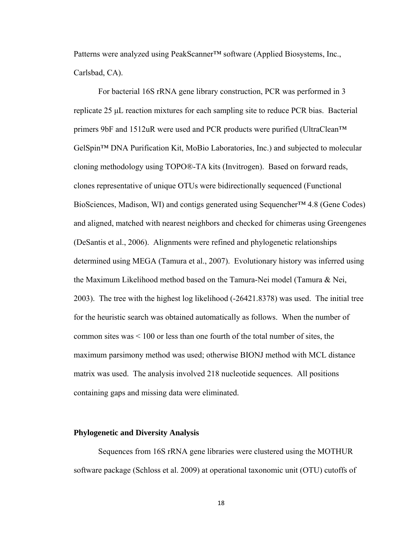Patterns were analyzed using PeakScanner™ software (Applied Biosystems, Inc., Carlsbad, CA).

For bacterial 16S rRNA gene library construction, PCR was performed in 3 replicate 25 μL reaction mixtures for each sampling site to reduce PCR bias. Bacterial primers 9bF and 1512uR were used and PCR products were purified (UltraClean™ GelSpin™ DNA Purification Kit, MoBio Laboratories, Inc.) and subjected to molecular cloning methodology using TOPO®-TA kits (Invitrogen). Based on forward reads, clones representative of unique OTUs were bidirectionally sequenced (Functional BioSciences, Madison, WI) and contigs generated using Sequencher™ 4.8 (Gene Codes) and aligned, matched with nearest neighbors and checked for chimeras using Greengenes (DeSantis et al., 2006). Alignments were refined and phylogenetic relationships determined using MEGA (Tamura et al., 2007). Evolutionary history was inferred using the Maximum Likelihood method based on the Tamura-Nei model (Tamura & Nei, 2003). The tree with the highest log likelihood (-26421.8378) was used. The initial tree for the heuristic search was obtained automatically as follows. When the number of common sites was < 100 or less than one fourth of the total number of sites, the maximum parsimony method was used; otherwise BIONJ method with MCL distance matrix was used. The analysis involved 218 nucleotide sequences. All positions containing gaps and missing data were eliminated.

#### **Phylogenetic and Diversity Analysis**

Sequences from 16S rRNA gene libraries were clustered using the MOTHUR software package (Schloss et al. 2009) at operational taxonomic unit (OTU) cutoffs of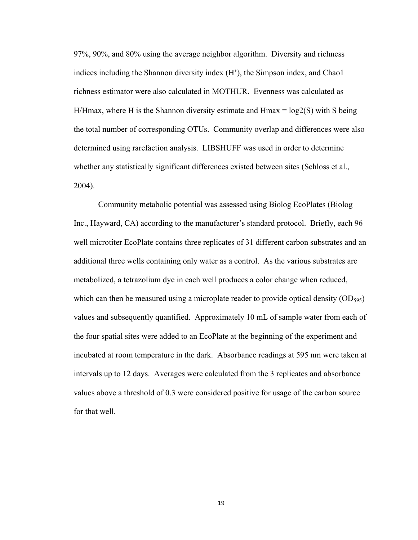97%, 90%, and 80% using the average neighbor algorithm. Diversity and richness indices including the Shannon diversity index (H'), the Simpson index, and Chao1 richness estimator were also calculated in MOTHUR. Evenness was calculated as H/Hmax, where H is the Shannon diversity estimate and  $H$ max =  $log2(S)$  with S being the total number of corresponding OTUs. Community overlap and differences were also determined using rarefaction analysis. LIBSHUFF was used in order to determine whether any statistically significant differences existed between sites (Schloss et al., 2004).

Community metabolic potential was assessed using Biolog EcoPlates (Biolog Inc., Hayward, CA) according to the manufacturer's standard protocol. Briefly, each 96 well microtiter EcoPlate contains three replicates of 31 different carbon substrates and an additional three wells containing only water as a control. As the various substrates are metabolized, a tetrazolium dye in each well produces a color change when reduced, which can then be measured using a microplate reader to provide optical density  $(OD_{595})$ values and subsequently quantified. Approximately 10 mL of sample water from each of the four spatial sites were added to an EcoPlate at the beginning of the experiment and incubated at room temperature in the dark. Absorbance readings at 595 nm were taken at intervals up to 12 days. Averages were calculated from the 3 replicates and absorbance values above a threshold of 0.3 were considered positive for usage of the carbon source for that well.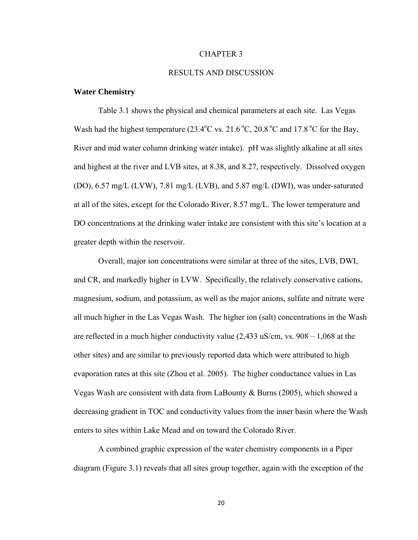#### CHAPTER 3

#### RESULTS AND DISCUSSION

#### **Water Chemistry**

Table 3.1 shows the physical and chemical parameters at each site. Las Vegas Wash had the highest temperature  $(23.4^{\circ}$ C vs.  $21.6^{\circ}$ C,  $20.8^{\circ}$ C and  $17.8^{\circ}$ C for the Bay, River and mid water column drinking water intake). pH was slightly alkaline at all sites and highest at the river and LVB sites, at 8.38, and 8.27, respectively. Dissolved oxygen (DO), 6.57 mg/L (LVW), 7.81 mg/L (LVB), and 5.87 mg/L (DWI), was under-saturated at all of the sites, except for the Colorado River, 8.57 mg/L. The lower temperature and DO concentrations at the drinking water intake are consistent with this site's location at a greater depth within the reservoir.

Overall, major ion concentrations were similar at three of the sites, LVB, DWI, and CR, and markedly higher in LVW. Specifically, the relatively conservative cations, magnesium, sodium, and potassium, as well as the major anions, sulfate and nitrate were all much higher in the Las Vegas Wash. The higher ion (salt) concentrations in the Wash are reflected in a much higher conductivity value (2,433 uS/cm, vs. 908 – 1,068 at the other sites) and are similar to previously reported data which were attributed to high evaporation rates at this site (Zhou et al. 2005). The higher conductance values in Las Vegas Wash are consistent with data from LaBounty & Burns (2005), which showed a decreasing gradient in TOC and conductivity values from the inner basin where the Wash enters to sites within Lake Mead and on toward the Colorado River.

A combined graphic expression of the water chemistry components in a Piper diagram (Figure 3.1) reveals that all sites group together, again with the exception of the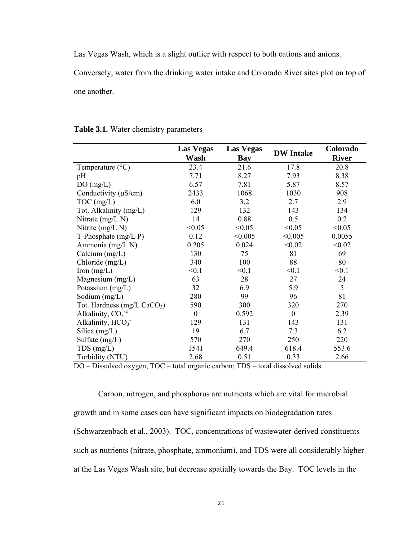Las Vegas Wash, which is a slight outlier with respect to both cations and anions.

Conversely, water from the drinking water intake and Colorado River sites plot on top of one another.

|                                         | <b>Las Vegas</b><br><b>Las Vegas</b> |         |                  | Colorado     |
|-----------------------------------------|--------------------------------------|---------|------------------|--------------|
|                                         | Wash                                 | Bay     | <b>DW</b> Intake | <b>River</b> |
| Temperature $(^{\circ}C)$               | 23.4                                 | 21.6    | 17.8             | 20.8         |
| pH                                      | 7.71                                 | 8.27    | 7.93             | 8.38         |
| DO(mg/L)                                | 6.57                                 | 7.81    | 5.87             | 8.57         |
| Conductivity $(\mu S/cm)$               | 2433                                 | 1068    | 1030             | 908          |
| $TOC$ (mg/L)                            | 6.0                                  | 3.2     | 2.7              | 2.9          |
| Tot. Alkalinity (mg/L)                  | 129                                  | 132     | 143              | 134          |
| Nitrate $(mg/L)$                        | 14                                   | 0.88    | 0.5              | 0.2          |
| Nitrite (mg/L N)                        | < 0.05                               | < 0.05  | < 0.05           | < 0.05       |
| T-Phosphate $(mg/L P)$                  | 0.12                                 | < 0.005 | < 0.005          | 0.0055       |
| Ammonia (mg/L N)                        | 0.205                                | 0.024   | < 0.02           | < 0.02       |
| Calcium $(mg/L)$                        | 130                                  | 75      | 81               | 69           |
| Chloride $(mg/L)$                       | 340                                  | 100     | 88               | 80           |
| Iron $(mg/L)$                           | < 0.1                                | < 0.1   | < 0.1            | < 0.1        |
| Magnesium $(mg/L)$                      | 63                                   | 28      | 27               | 24           |
| Potassium (mg/L)                        | 32                                   | 6.9     | 5.9              | 5            |
| Sodium $(mg/L)$                         | 280                                  | 99      | 96               | 81           |
| Tot. Hardness (mg/L CaCO <sub>3</sub> ) | 590                                  | 300     | 320              | 270          |
| Alkalinity, $CO_3^{-2}$                 | $\mathbf{0}$                         | 0.592   | $\theta$         | 2.39         |
| Alkalinity, HCO <sub>3</sub>            | 129                                  | 131     | 143              | 131          |
| Silica $(mg/L)$                         | 19                                   | 6.7     | 7.3              | 6.2          |
| Sulfate $(mg/L)$                        | 570                                  | 270     | 250              | 220          |
| $TDS$ (mg/L)                            | 1541                                 | 649.4   | 618.4            | 553.6        |
| Turbidity (NTU)                         | 2.68                                 | 0.51    | 0.33             | 2.66         |

#### **Table 3.1.** Water chemistry parameters

DO – Dissolved oxygen; TOC – total organic carbon; TDS – total dissolved solids

Carbon, nitrogen, and phosphorus are nutrients which are vital for microbial growth and in some cases can have significant impacts on biodegradation rates (Schwarzenbach et al., 2003). TOC, concentrations of wastewater-derived constituents such as nutrients (nitrate, phosphate, ammonium), and TDS were all considerably higher at the Las Vegas Wash site, but decrease spatially towards the Bay. TOC levels in the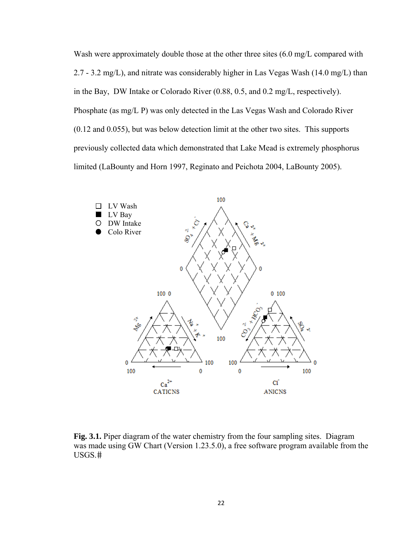Wash were approximately double those at the other three sites (6.0 mg/L compared with 2.7 - 3.2 mg/L), and nitrate was considerably higher in Las Vegas Wash (14.0 mg/L) than in the Bay, DW Intake or Colorado River (0.88, 0.5, and 0.2 mg/L, respectively). Phosphate (as mg/L P) was only detected in the Las Vegas Wash and Colorado River (0.12 and 0.055), but was below detection limit at the other two sites. This supports previously collected data which demonstrated that Lake Mead is extremely phosphorus limited (LaBounty and Horn 1997, Reginato and Peichota 2004, LaBounty 2005).



**Fig. 3.1.** Piper diagram of the water chemistry from the four sampling sites. Diagram was made using GW Chart (Version 1.23.5.0), a free software program available from the USGS.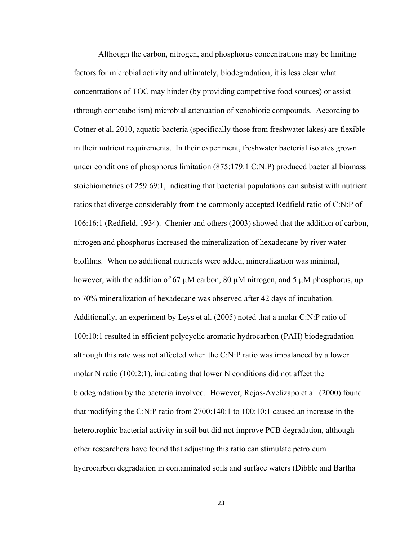Although the carbon, nitrogen, and phosphorus concentrations may be limiting factors for microbial activity and ultimately, biodegradation, it is less clear what concentrations of TOC may hinder (by providing competitive food sources) or assist (through cometabolism) microbial attenuation of xenobiotic compounds. According to Cotner et al. 2010, aquatic bacteria (specifically those from freshwater lakes) are flexible in their nutrient requirements. In their experiment, freshwater bacterial isolates grown under conditions of phosphorus limitation (875:179:1 C:N:P) produced bacterial biomass stoichiometries of 259:69:1, indicating that bacterial populations can subsist with nutrient ratios that diverge considerably from the commonly accepted Redfield ratio of C:N:P of 106:16:1 (Redfield, 1934). Chenier and others (2003) showed that the addition of carbon, nitrogen and phosphorus increased the mineralization of hexadecane by river water biofilms. When no additional nutrients were added, mineralization was minimal, however, with the addition of 67  $\mu$ M carbon, 80  $\mu$ M nitrogen, and 5  $\mu$ M phosphorus, up to 70% mineralization of hexadecane was observed after 42 days of incubation. Additionally, an experiment by Leys et al. (2005) noted that a molar C:N:P ratio of 100:10:1 resulted in efficient polycyclic aromatic hydrocarbon (PAH) biodegradation although this rate was not affected when the C:N:P ratio was imbalanced by a lower molar N ratio (100:2:1), indicating that lower N conditions did not affect the biodegradation by the bacteria involved. However, Rojas-Avelizapo et al. (2000) found that modifying the C:N:P ratio from 2700:140:1 to 100:10:1 caused an increase in the heterotrophic bacterial activity in soil but did not improve PCB degradation, although other researchers have found that adjusting this ratio can stimulate petroleum hydrocarbon degradation in contaminated soils and surface waters (Dibble and Bartha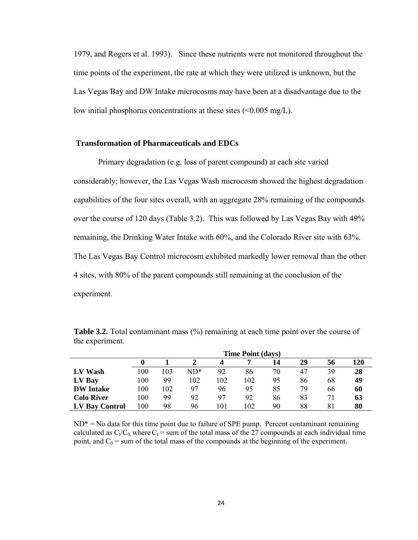1979, and Rogers et al. 1993). Since these nutrients were not monitored throughout the time points of the experiment, the rate at which they were utilized is unknown, but the Las Vegas Bay and DW Intake microcosms may have been at a disadvantage due to the low initial phosphorus concentrations at these sites  $\leq 0.005$  mg/L).

#### **Transformation of Pharmaceuticals and EDCs**

Primary degradation (e.g. loss of parent compound) at each site varied considerably; however, the Las Vegas Wash microcosm showed the highest degradation capabilities of the four sites overall, with an aggregate 28% remaining of the compounds over the course of 120 days (Table 3.2). This was followed by Las Vegas Bay with 49% remaining, the Drinking Water Intake with 60%, and the Colorado River site with 63%. The Las Vegas Bay Control microcosm exhibited markedly lower removal than the other 4 sites, with 80% of the parent compounds still remaining at the conclusion of the experiment.

|                   | <b>Time Point (days)</b> |     |        |                 |     |    |    |    |     |
|-------------------|--------------------------|-----|--------|-----------------|-----|----|----|----|-----|
|                   |                          |     |        |                 |     | 14 | 29 | 56 | 120 |
| LV Wash           | 100                      | 103 | $ND^*$ | 92              | 86  | 70 | 47 | 39 | 28  |
| LV Bay            | 100                      | 99  | 102    | 102             | 102 | 95 | 86 | 68 | 49  |
| <b>DW</b> Intake  | 100                      | 102 | 97     | 96              | 95  | 85 | 79 | 66 | 60  |
| <b>Colo River</b> | 100                      | 99  | 92     | 97              | 92  | 86 | 83 |    | 63  |
| LV Bay Control    | 100                      | 98  | 96     | $\overline{01}$ | 102 | 90 | 88 | 81 | 80  |

**Table 3.2.** Total contaminant mass (%) remaining at each time point over the course of the experiment.

 $ND^* = No$  data for this time point due to failure of SPE pump. Percent contaminant remaining calculated as  $C_t/C_0$ , where  $C_t$  = sum of the total mass of the 27 compounds at each individual time point, and  $C_0$  = sum of the total mass of the compounds at the beginning of the experiment.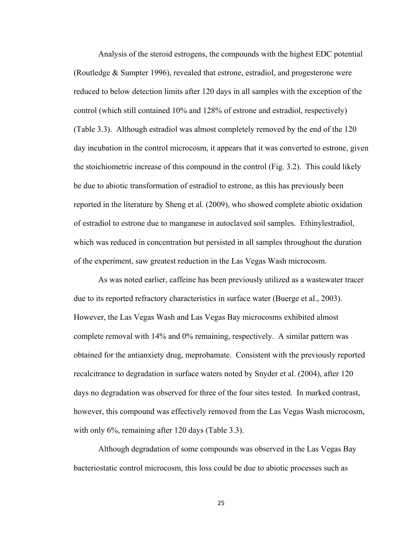Analysis of the steroid estrogens, the compounds with the highest EDC potential (Routledge & Sumpter 1996), revealed that estrone, estradiol, and progesterone were reduced to below detection limits after 120 days in all samples with the exception of the control (which still contained 10% and 128% of estrone and estradiol, respectively) (Table 3.3). Although estradiol was almost completely removed by the end of the 120 day incubation in the control microcosm, it appears that it was converted to estrone, given the stoichiometric increase of this compound in the control (Fig. 3.2). This could likely be due to abiotic transformation of estradiol to estrone, as this has previously been reported in the literature by Sheng et al. (2009), who showed complete abiotic oxidation of estradiol to estrone due to manganese in autoclaved soil samples. Ethinylestradiol, which was reduced in concentration but persisted in all samples throughout the duration of the experiment, saw greatest reduction in the Las Vegas Wash microcosm.

As was noted earlier, caffeine has been previously utilized as a wastewater tracer due to its reported refractory characteristics in surface water (Buerge et al., 2003). However, the Las Vegas Wash and Las Vegas Bay microcosms exhibited almost complete removal with 14% and 0% remaining, respectively. A similar pattern was obtained for the antianxiety drug, meprobamate. Consistent with the previously reported recalcitrance to degradation in surface waters noted by Snyder et al. (2004), after 120 days no degradation was observed for three of the four sites tested. In marked contrast, however, this compound was effectively removed from the Las Vegas Wash microcosm, with only 6%, remaining after 120 days (Table 3.3).

Although degradation of some compounds was observed in the Las Vegas Bay bacteriostatic control microcosm, this loss could be due to abiotic processes such as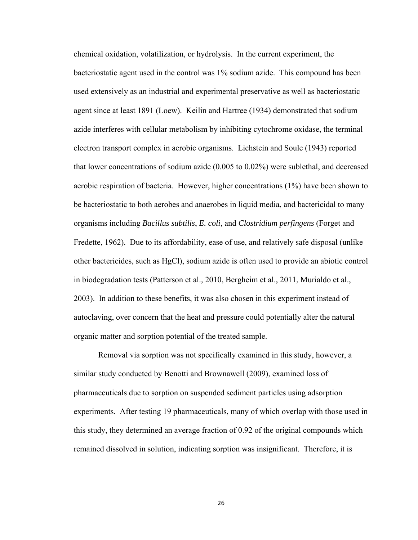chemical oxidation, volatilization, or hydrolysis. In the current experiment, the bacteriostatic agent used in the control was 1% sodium azide. This compound has been used extensively as an industrial and experimental preservative as well as bacteriostatic agent since at least 1891 (Loew). Keilin and Hartree (1934) demonstrated that sodium azide interferes with cellular metabolism by inhibiting cytochrome oxidase, the terminal electron transport complex in aerobic organisms. Lichstein and Soule (1943) reported that lower concentrations of sodium azide (0.005 to 0.02%) were sublethal, and decreased aerobic respiration of bacteria. However, higher concentrations (1%) have been shown to be bacteriostatic to both aerobes and anaerobes in liquid media, and bactericidal to many organisms including *Bacillus subtilis*, *E. coli*, and *Clostridium perfingens* (Forget and Fredette, 1962). Due to its affordability, ease of use, and relatively safe disposal (unlike other bactericides, such as HgCl), sodium azide is often used to provide an abiotic control in biodegradation tests (Patterson et al., 2010, Bergheim et al., 2011, Murialdo et al., 2003). In addition to these benefits, it was also chosen in this experiment instead of autoclaving, over concern that the heat and pressure could potentially alter the natural organic matter and sorption potential of the treated sample.

Removal via sorption was not specifically examined in this study, however, a similar study conducted by Benotti and Brownawell (2009), examined loss of pharmaceuticals due to sorption on suspended sediment particles using adsorption experiments. After testing 19 pharmaceuticals, many of which overlap with those used in this study, they determined an average fraction of 0.92 of the original compounds which remained dissolved in solution, indicating sorption was insignificant. Therefore, it is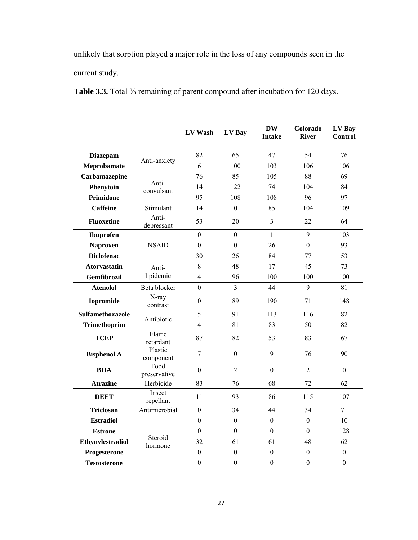unlikely that sorption played a major role in the loss of any compounds seen in the current study.

|                         |                      | LV Wash          | LV Bay           | <b>DW</b><br><b>Intake</b> | Colorado<br><b>River</b> | LV Bay<br><b>Control</b> |
|-------------------------|----------------------|------------------|------------------|----------------------------|--------------------------|--------------------------|
| <b>Diazepam</b>         |                      | 82               | 65               | 47                         | 54                       | 76                       |
| Meprobamate             | Anti-anxiety         | 6                | 100              | 103                        | 106                      | 106                      |
| Carbamazepine           |                      | 76               | 85               | 105                        | 88                       | 69                       |
| Phenytoin               | Anti-<br>convulsant  | 14               | 122              | 74                         | 104                      | 84                       |
| Primidone               |                      | 95               | 108              | 108                        | 96                       | 97                       |
| Caffeine                | Stimulant            | 14               | $\theta$         | 85                         | 104                      | 109                      |
| <b>Fluoxetine</b>       | Anti-<br>depressant  | 53               | 20               | $\overline{3}$             | 22                       | 64                       |
| Ibuprofen               |                      | $\boldsymbol{0}$ | $\boldsymbol{0}$ | $\mathbf{1}$               | 9                        | 103                      |
| <b>Naproxen</b>         | <b>NSAID</b>         | $\boldsymbol{0}$ | $\boldsymbol{0}$ | 26                         | $\boldsymbol{0}$         | 93                       |
| <b>Diclofenac</b>       |                      | 30               | 26               | 84                         | 77                       | 53                       |
| <b>Atorvastatin</b>     | Anti-                | 8                | 48               | 17                         | 45                       | 73                       |
| Gemfibrozil             | lipidemic            | $\overline{4}$   | 96               | 100                        | 100                      | 100                      |
| <b>Atenolol</b>         | Beta blocker         | $\mathbf{0}$     | 3                | 44                         | 9                        | 81                       |
| <b>Iopromide</b>        | X-ray<br>contrast    | $\boldsymbol{0}$ | 89               | 190                        | 71                       | 148                      |
| <b>Sulfamethoxazole</b> | Antibiotic           | 5                | 91               | 113                        | 116                      | 82                       |
| <b>Trimethoprim</b>     |                      | $\overline{4}$   | 81               | 83                         | 50                       | 82                       |
| <b>TCEP</b>             | Flame<br>retardant   | 87               | 82               | 53                         | 83                       | 67                       |
| <b>Bisphenol A</b>      | Plastic<br>component | $\overline{7}$   | $\boldsymbol{0}$ | 9                          | 76                       | 90                       |
| <b>BHA</b>              | Food<br>preservative | $\boldsymbol{0}$ | $\overline{2}$   | $\boldsymbol{0}$           | $\overline{2}$           | $\mathbf{0}$             |
| <b>Atrazine</b>         | Herbicide            | 83               | 76               | 68                         | 72                       | 62                       |
| <b>DEET</b>             | Insect<br>repellant  | 11               | 93               | 86                         | 115                      | 107                      |
| <b>Triclosan</b>        | Antimicrobial        | $\boldsymbol{0}$ | 34               | 44                         | 34                       | 71                       |
| <b>Estradiol</b>        |                      | $\mathbf{0}$     | $\boldsymbol{0}$ | $\overline{0}$             | $\overline{0}$           | 10                       |
| <b>Estrone</b>          |                      | $\theta$         | $\theta$         | $\mathbf{0}$               | $\theta$                 | 128                      |
| Ethynylestradiol        | Steroid<br>hormone   | 32               | 61               | 61                         | 48                       | 62                       |
| Progesterone            |                      | $\theta$         | $\theta$         | $\theta$                   | $\theta$                 | $\boldsymbol{0}$         |
| <b>Testosterone</b>     |                      | $\theta$         | $\boldsymbol{0}$ | $\theta$                   | $\theta$                 | $\boldsymbol{0}$         |

Table 3.3. Total % remaining of parent compound after incubation for 120 days.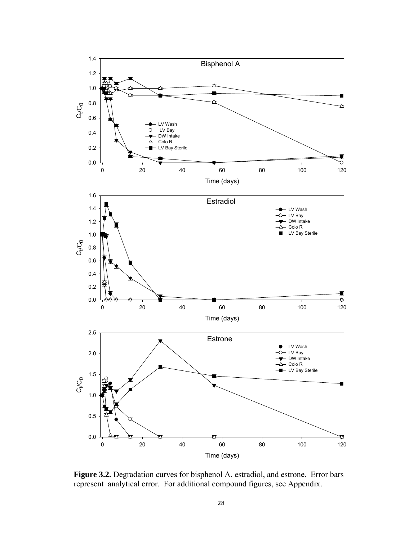

**Figure 3.2.** Degradation curves for bisphenol A, estradiol, and estrone. Error bars represent analytical error. For additional compound figures, see Appendix.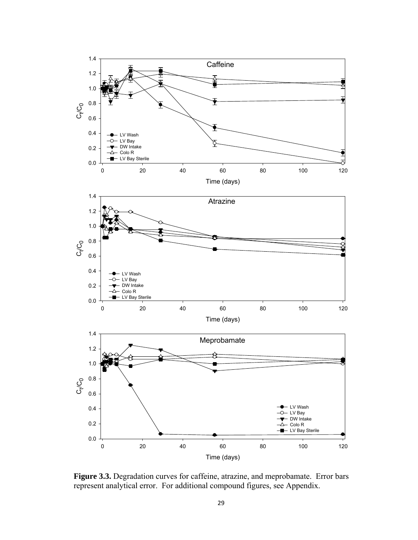

**Figure 3.3.** Degradation curves for caffeine, atrazine, and meprobamate. Error bars represent analytical error. For additional compound figures, see Appendix.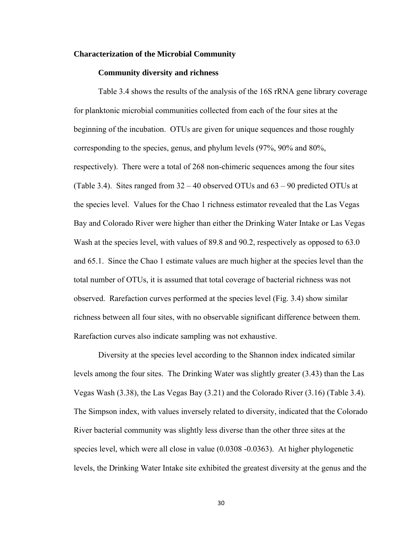## **Characterization of the Microbial Community**

## **Community diversity and richness**

Table 3.4 shows the results of the analysis of the 16S rRNA gene library coverage for planktonic microbial communities collected from each of the four sites at the beginning of the incubation. OTUs are given for unique sequences and those roughly corresponding to the species, genus, and phylum levels (97%, 90% and 80%, respectively). There were a total of 268 non-chimeric sequences among the four sites (Table 3.4). Sites ranged from 32 – 40 observed OTUs and 63 – 90 predicted OTUs at the species level. Values for the Chao 1 richness estimator revealed that the Las Vegas Bay and Colorado River were higher than either the Drinking Water Intake or Las Vegas Wash at the species level, with values of 89.8 and 90.2, respectively as opposed to 63.0 and 65.1. Since the Chao 1 estimate values are much higher at the species level than the total number of OTUs, it is assumed that total coverage of bacterial richness was not observed. Rarefaction curves performed at the species level (Fig. 3.4) show similar richness between all four sites, with no observable significant difference between them. Rarefaction curves also indicate sampling was not exhaustive.

Diversity at the species level according to the Shannon index indicated similar levels among the four sites. The Drinking Water was slightly greater (3.43) than the Las Vegas Wash (3.38), the Las Vegas Bay (3.21) and the Colorado River (3.16) (Table 3.4). The Simpson index, with values inversely related to diversity, indicated that the Colorado River bacterial community was slightly less diverse than the other three sites at the species level, which were all close in value (0.0308 -0.0363). At higher phylogenetic levels, the Drinking Water Intake site exhibited the greatest diversity at the genus and the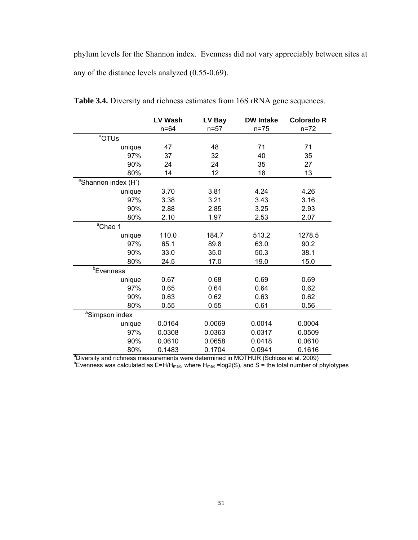phylum levels for the Shannon index. Evenness did not vary appreciably between sites at any of the distance levels analyzed (0.55-0.69).

|                                                                                                  | <b>LV Wash</b> | LV Bay   | <b>DW Intake</b> | <b>Colorado R</b> |
|--------------------------------------------------------------------------------------------------|----------------|----------|------------------|-------------------|
|                                                                                                  | $n = 64$       | $n = 57$ | $n = 75$         | $n = 72$          |
| <sup>a</sup> OTUs                                                                                |                |          |                  |                   |
| unique                                                                                           | 47             | 48       | 71               | 71                |
| 97%                                                                                              | 37             | 32       | 40               | 35                |
| 90%                                                                                              | 24             | 24       | 35               | 27                |
| 80%                                                                                              | 14             | 12       | 18               | 13                |
| <sup>a</sup> Shannon index (H')                                                                  |                |          |                  |                   |
| unique                                                                                           | 3.70           | 3.81     | 4.24             | 4.26              |
| 97%                                                                                              | 3.38           | 3.21     | 3.43             | 3.16              |
| 90%                                                                                              | 2.88           | 2.85     | 3.25             | 2.93              |
| 80%                                                                                              | 2.10           | 1.97     | 2.53             | 2.07              |
| <sup>a</sup> Chao 1                                                                              |                |          |                  |                   |
| unique                                                                                           | 110.0          | 184.7    | 513.2            | 1278.5            |
| 97%                                                                                              | 65.1           | 89.8     | 63.0             | 90.2              |
| 90%                                                                                              | 33.0           | 35.0     | 50.3             | 38.1              |
| 80%                                                                                              | 24.5           | 17.0     | 19.0             | 15.0              |
| <b><i>b</i>Evenness</b>                                                                          |                |          |                  |                   |
| unique                                                                                           | 0.67           | 0.68     | 0.69             | 0.69              |
| 97%                                                                                              | 0.65           | 0.64     | 0.64             | 0.62              |
| 90%                                                                                              | 0.63           | 0.62     | 0.63             | 0.62              |
| 80%                                                                                              | 0.55           | 0.55     | 0.61             | 0.56              |
| <sup>a</sup> Simpson index                                                                       |                |          |                  |                   |
| unique                                                                                           | 0.0164         | 0.0069   | 0.0014           | 0.0004            |
| 97%                                                                                              | 0.0308         | 0.0363   | 0.0317           | 0.0509            |
| 90%                                                                                              | 0.0610         | 0.0658   | 0.0418           | 0.0610            |
| 80%                                                                                              | 0.1483         | 0.1704   | 0.0941           | 0.1616            |
| <sup>a</sup> Diversity and richness measurements were determined in MOTHUR (Schloss et al. 2009) |                |          |                  |                   |

**Table 3.4.** Diversity and richness estimates from 16S rRNA gene sequences.

<sup>b</sup>Evenness was calculated as E=H/H<sub>max</sub>, where H<sub>max</sub> =log2(S), and S = the total number of phylotypes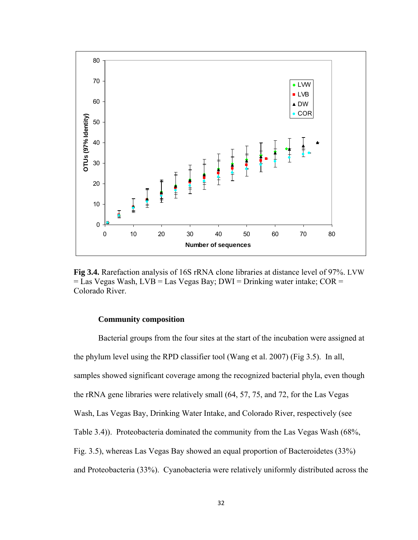

**Fig 3.4.** Rarefaction analysis of 16S rRNA clone libraries at distance level of 97%. LVW  $=$  Las Vegas Wash, LVB  $=$  Las Vegas Bay; DWI  $=$  Drinking water intake; COR  $=$ Colorado River.

## **Community composition**

Bacterial groups from the four sites at the start of the incubation were assigned at the phylum level using the RPD classifier tool (Wang et al. 2007) (Fig 3.5). In all, samples showed significant coverage among the recognized bacterial phyla, even though the rRNA gene libraries were relatively small (64, 57, 75, and 72, for the Las Vegas Wash, Las Vegas Bay, Drinking Water Intake, and Colorado River, respectively (see Table 3.4)). Proteobacteria dominated the community from the Las Vegas Wash (68%, Fig. 3.5), whereas Las Vegas Bay showed an equal proportion of Bacteroidetes (33%) and Proteobacteria (33%). Cyanobacteria were relatively uniformly distributed across the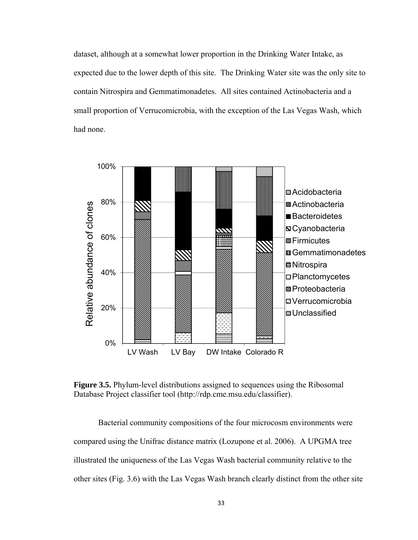dataset, although at a somewhat lower proportion in the Drinking Water Intake, as expected due to the lower depth of this site. The Drinking Water site was the only site to contain Nitrospira and Gemmatimonadetes. All sites contained Actinobacteria and a small proportion of Verrucomicrobia, with the exception of the Las Vegas Wash, which had none.



**Figure 3.5.** Phylum-level distributions assigned to sequences using the Ribosomal Database Project classifier tool (http://rdp.cme.msu.edu/classifier).

Bacterial community compositions of the four microcosm environments were compared using the Unifrac distance matrix (Lozupone et al. 2006). A UPGMA tree illustrated the uniqueness of the Las Vegas Wash bacterial community relative to the other sites (Fig. 3.6) with the Las Vegas Wash branch clearly distinct from the other site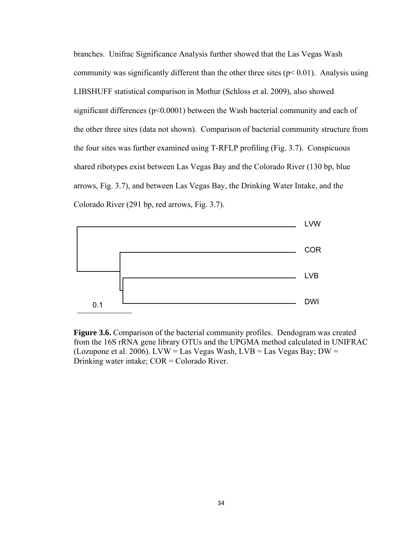branches. Unifrac Significance Analysis further showed that the Las Vegas Wash community was significantly different than the other three sites  $(p< 0.01)$ . Analysis using LIBSHUFF statistical comparison in Mothur (Schloss et al. 2009), also showed significant differences ( $p<0.0001$ ) between the Wash bacterial community and each of the other three sites (data not shown). Comparison of bacterial community structure from the four sites was further examined using T-RFLP profiling (Fig. 3.7). Conspicuous shared ribotypes exist between Las Vegas Bay and the Colorado River (130 bp, blue arrows, Fig. 3.7), and between Las Vegas Bay, the Drinking Water Intake, and the Colorado River (291 bp, red arrows, Fig. 3.7).



**Figure 3.6.** Comparison of the bacterial community profiles. Dendogram was created from the 16S rRNA gene library OTUs and the UPGMA method calculated in UNIFRAC (Lozupone et al. 2006). LVW = Las Vegas Wash, LVB = Las Vegas Bay; DW = Drinking water intake; COR = Colorado River.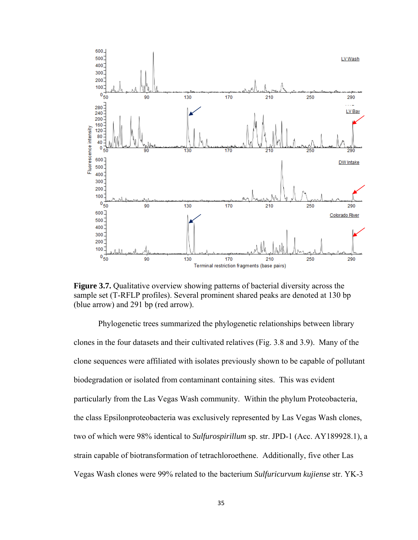

**Figure 3.7.** Qualitative overview showing patterns of bacterial diversity across the sample set (T-RFLP profiles). Several prominent shared peaks are denoted at 130 bp (blue arrow) and 291 bp (red arrow).

Phylogenetic trees summarized the phylogenetic relationships between library clones in the four datasets and their cultivated relatives (Fig. 3.8 and 3.9). Many of the clone sequences were affiliated with isolates previously shown to be capable of pollutant biodegradation or isolated from contaminant containing sites. This was evident particularly from the Las Vegas Wash community. Within the phylum Proteobacteria, the class Epsilonproteobacteria was exclusively represented by Las Vegas Wash clones, two of which were 98% identical to *Sulfurospirillum* sp. str. JPD-1 (Acc. AY189928.1), a strain capable of biotransformation of tetrachloroethene. Additionally, five other Las Vegas Wash clones were 99% related to the bacterium *Sulfuricurvum kujiense* str. YK-3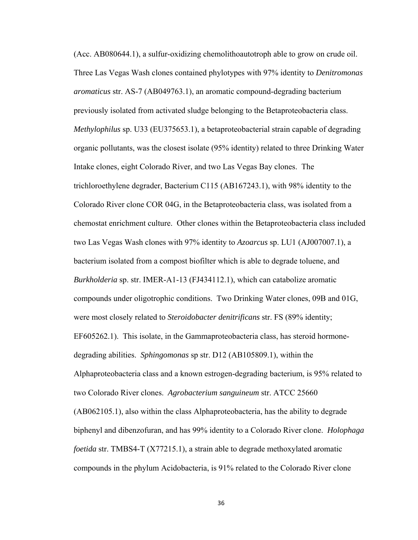(Acc. AB080644.1), a sulfur-oxidizing chemolithoautotroph able to grow on crude oil. Three Las Vegas Wash clones contained phylotypes with 97% identity to *Denitromonas aromaticus* str. AS-7 (AB049763.1), an aromatic compound-degrading bacterium previously isolated from activated sludge belonging to the Betaproteobacteria class. *Methylophilus* sp. U33 (EU375653.1), a betaproteobacterial strain capable of degrading organic pollutants, was the closest isolate (95% identity) related to three Drinking Water Intake clones, eight Colorado River, and two Las Vegas Bay clones. The trichloroethylene degrader, Bacterium C115 (AB167243.1), with 98% identity to the Colorado River clone COR 04G, in the Betaproteobacteria class, was isolated from a chemostat enrichment culture. Other clones within the Betaproteobacteria class included two Las Vegas Wash clones with 97% identity to *Azoarcus* sp. LU1 (AJ007007.1), a bacterium isolated from a compost biofilter which is able to degrade toluene, and *Burkholderia* sp. str. IMER-A1-13 (FJ434112.1), which can catabolize aromatic compounds under oligotrophic conditions. Two Drinking Water clones, 09B and 01G, were most closely related to *Steroidobacter denitrificans* str. FS (89% identity; EF605262.1). This isolate, in the Gammaproteobacteria class, has steroid hormonedegrading abilities. *Sphingomonas* sp str. D12 (AB105809.1), within the Alphaproteobacteria class and a known estrogen-degrading bacterium, is 95% related to two Colorado River clones. *Agrobacterium sanguineum* str. ATCC 25660 (AB062105.1), also within the class Alphaproteobacteria, has the ability to degrade biphenyl and dibenzofuran, and has 99% identity to a Colorado River clone. *Holophaga foetida* str. TMBS4-T (X77215.1), a strain able to degrade methoxylated aromatic compounds in the phylum Acidobacteria, is 91% related to the Colorado River clone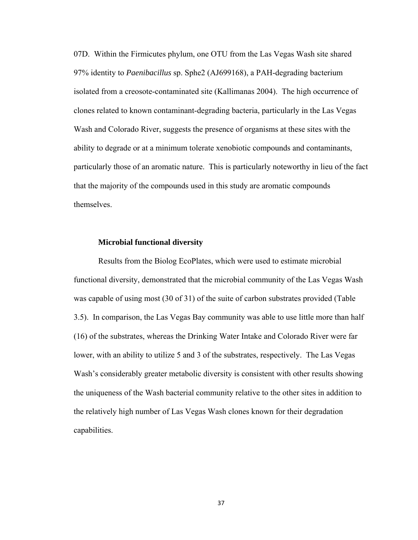07D. Within the Firmicutes phylum, one OTU from the Las Vegas Wash site shared 97% identity to *Paenibacillus* sp. Sphe2 (AJ699168), a PAH-degrading bacterium isolated from a creosote-contaminated site (Kallimanas 2004). The high occurrence of clones related to known contaminant-degrading bacteria, particularly in the Las Vegas Wash and Colorado River, suggests the presence of organisms at these sites with the ability to degrade or at a minimum tolerate xenobiotic compounds and contaminants, particularly those of an aromatic nature. This is particularly noteworthy in lieu of the fact that the majority of the compounds used in this study are aromatic compounds themselves.

## **Microbial functional diversity**

Results from the Biolog EcoPlates, which were used to estimate microbial functional diversity, demonstrated that the microbial community of the Las Vegas Wash was capable of using most (30 of 31) of the suite of carbon substrates provided (Table 3.5). In comparison, the Las Vegas Bay community was able to use little more than half (16) of the substrates, whereas the Drinking Water Intake and Colorado River were far lower, with an ability to utilize 5 and 3 of the substrates, respectively. The Las Vegas Wash's considerably greater metabolic diversity is consistent with other results showing the uniqueness of the Wash bacterial community relative to the other sites in addition to the relatively high number of Las Vegas Wash clones known for their degradation capabilities.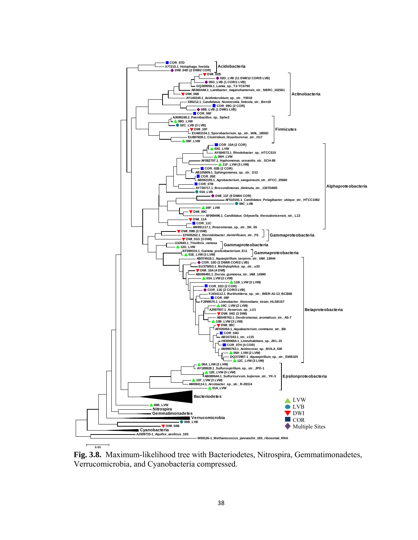

**Fig. 3.8.** Maximum-likelihood tree with Bacteriodetes, Nitrospira, Gemmatimonadetes, Verrucomicrobia, and Cyanobacteria compressed.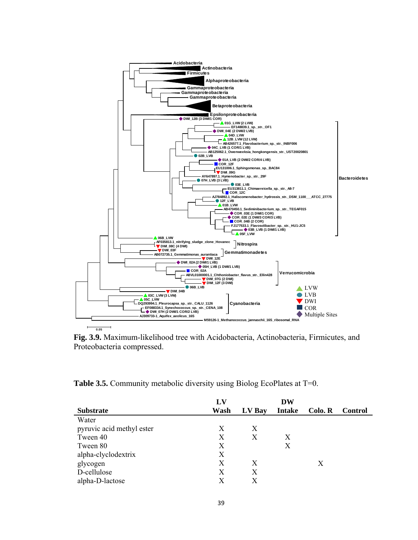

**Fig. 3.9.** Maximum-likelihood tree with Acidobacteria, Actinobacteria, Firmicutes, and Proteobacteria compressed.

**Table 3.5.** Community metabolic diversity using Biolog EcoPlates at T=0.

|                           | $\mathbf{L}\mathbf{V}$ |        | DW            |         |                |
|---------------------------|------------------------|--------|---------------|---------|----------------|
| <b>Substrate</b>          | Wash                   | LV Bay | <b>Intake</b> | Colo. R | <b>Control</b> |
| Water                     |                        |        |               |         |                |
| pyruvic acid methyl ester | X                      | X      |               |         |                |
| Tween 40                  | X                      | X      | X             |         |                |
| Tween 80                  | X                      |        | X             |         |                |
| alpha-clyclodextrix       | X                      |        |               |         |                |
| glycogen                  | X                      | X      |               | X       |                |
| D-cellulose               | X                      | X      |               |         |                |
| alpha-D-lactose           | X                      | X      |               |         |                |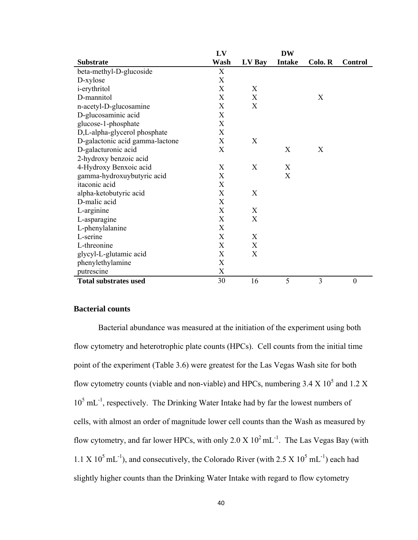|                                 | LV   |        | <b>DW</b>     |         |                  |
|---------------------------------|------|--------|---------------|---------|------------------|
| <b>Substrate</b>                | Wash | LV Bay | <b>Intake</b> | Colo. R | <b>Control</b>   |
| beta-methyl-D-glucoside         | X    |        |               |         |                  |
| D-xylose                        | X    |        |               |         |                  |
| <i>i</i> -erythritol            | X    | X      |               |         |                  |
| D-mannitol                      | X    | X      |               | X       |                  |
| n-acetyl-D-glucosamine          | X    | X      |               |         |                  |
| D-glucosaminic acid             | X    |        |               |         |                  |
| glucose-1-phosphate             | X    |        |               |         |                  |
| D,L-alpha-glycerol phosphate    | X    |        |               |         |                  |
| D-galactonic acid gamma-lactone | X    | X      |               |         |                  |
| D-galacturonic acid             | X    |        | X             | X       |                  |
| 2-hydroxy benzoic acid          |      |        |               |         |                  |
| 4-Hydroxy Benxoic acid          | X    | X      | X             |         |                  |
| gamma-hydroxuybutyric acid      | X    |        | X             |         |                  |
| itaconic acid                   | X    |        |               |         |                  |
| alpha-ketobutyric acid          | X    | X      |               |         |                  |
| D-malic acid                    | X    |        |               |         |                  |
| L-arginine                      | X    | X      |               |         |                  |
| L-asparagine                    | X    | X      |               |         |                  |
| L-phenylalanine                 | X    |        |               |         |                  |
| L-serine                        | X    | X      |               |         |                  |
| L-threonine                     | X    | X      |               |         |                  |
| glycyl-L-glutamic acid          | X    | X      |               |         |                  |
| phenylethylamine                | X    |        |               |         |                  |
| putrescine                      | X    |        |               |         |                  |
| <b>Total substrates used</b>    | 30   | 16     | 5             | 3       | $\boldsymbol{0}$ |

## **Bacterial counts**

Bacterial abundance was measured at the initiation of the experiment using both flow cytometry and heterotrophic plate counts (HPCs). Cell counts from the initial time point of the experiment (Table 3.6) were greatest for the Las Vegas Wash site for both flow cytometry counts (viable and non-viable) and HPCs, numbering  $3.4 \text{ X} 10^5$  and  $1.2 \text{ X}$ 10<sup>5</sup> mL<sup>-1</sup>, respectively. The Drinking Water Intake had by far the lowest numbers of cells, with almost an order of magnitude lower cell counts than the Wash as measured by flow cytometry, and far lower HPCs, with only  $2.0 \text{ X } 10^2 \text{ mL}^{-1}$ . The Las Vegas Bay (with  $1.1 \text{ X } 10^5 \text{ mL}^{-1}$ ), and consecutively, the Colorado River (with 2.5 X  $10^5 \text{ mL}^{-1}$ ) each had slightly higher counts than the Drinking Water Intake with regard to flow cytometry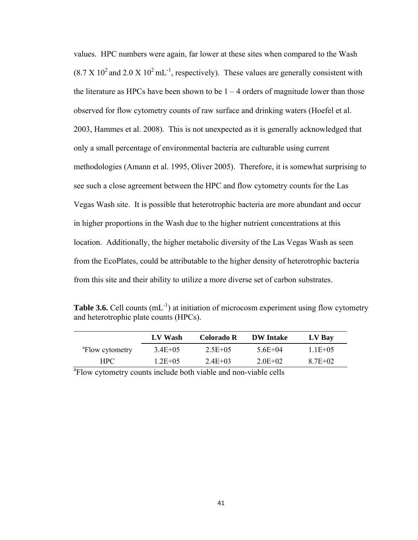values. HPC numbers were again, far lower at these sites when compared to the Wash  $(8.7 \times 10^2 \text{ and } 2.0 \times 10^2 \text{ mL}^{-1})$ , respectively). These values are generally consistent with the literature as HPCs have been shown to be  $1 - 4$  orders of magnitude lower than those observed for flow cytometry counts of raw surface and drinking waters (Hoefel et al. 2003, Hammes et al. 2008). This is not unexpected as it is generally acknowledged that only a small percentage of environmental bacteria are culturable using current methodologies (Amann et al. 1995, Oliver 2005). Therefore, it is somewhat surprising to see such a close agreement between the HPC and flow cytometry counts for the Las Vegas Wash site. It is possible that heterotrophic bacteria are more abundant and occur in higher proportions in the Wash due to the higher nutrient concentrations at this location. Additionally, the higher metabolic diversity of the Las Vegas Wash as seen from the EcoPlates, could be attributable to the higher density of heterotrophic bacteria from this site and their ability to utilize a more diverse set of carbon substrates.

**Table 3.6.** Cell counts (mL<sup>-1</sup>) at initiation of microcosm experiment using flow cytometry and heterotrophic plate counts (HPCs).

|                                                                             | LV Wash      | Colorado R   | <b>DW</b> Intake | LV Bay       |  |  |
|-----------------------------------------------------------------------------|--------------|--------------|------------------|--------------|--|--|
| <sup>a</sup> Flow cytometry                                                 | $3.4E + 0.5$ | $2.5E + 0.5$ | $56E+04$         | $1.1E + 0.5$ |  |  |
| HPC.                                                                        | $1.2E + 0.5$ | $2.4E + 03$  | $2.0E+02$        | 8.7E+02      |  |  |
| <sup>a</sup> Flow cytometry counts include both viable and non-viable cells |              |              |                  |              |  |  |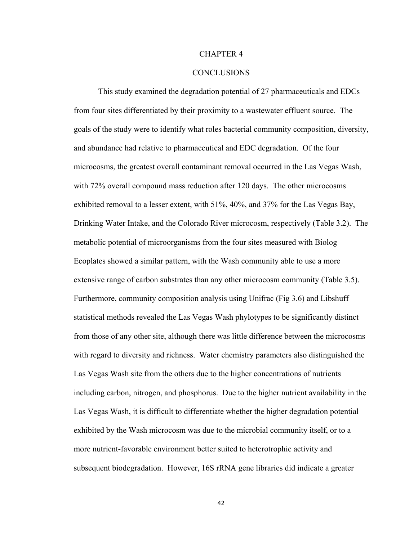### CHAPTER 4

## **CONCLUSIONS**

This study examined the degradation potential of 27 pharmaceuticals and EDCs from four sites differentiated by their proximity to a wastewater effluent source. The goals of the study were to identify what roles bacterial community composition, diversity, and abundance had relative to pharmaceutical and EDC degradation. Of the four microcosms, the greatest overall contaminant removal occurred in the Las Vegas Wash, with 72% overall compound mass reduction after 120 days. The other microcosms exhibited removal to a lesser extent, with 51%, 40%, and 37% for the Las Vegas Bay, Drinking Water Intake, and the Colorado River microcosm, respectively (Table 3.2). The metabolic potential of microorganisms from the four sites measured with Biolog Ecoplates showed a similar pattern, with the Wash community able to use a more extensive range of carbon substrates than any other microcosm community (Table 3.5). Furthermore, community composition analysis using Unifrac (Fig 3.6) and Libshuff statistical methods revealed the Las Vegas Wash phylotypes to be significantly distinct from those of any other site, although there was little difference between the microcosms with regard to diversity and richness. Water chemistry parameters also distinguished the Las Vegas Wash site from the others due to the higher concentrations of nutrients including carbon, nitrogen, and phosphorus. Due to the higher nutrient availability in the Las Vegas Wash, it is difficult to differentiate whether the higher degradation potential exhibited by the Wash microcosm was due to the microbial community itself, or to a more nutrient-favorable environment better suited to heterotrophic activity and subsequent biodegradation. However, 16S rRNA gene libraries did indicate a greater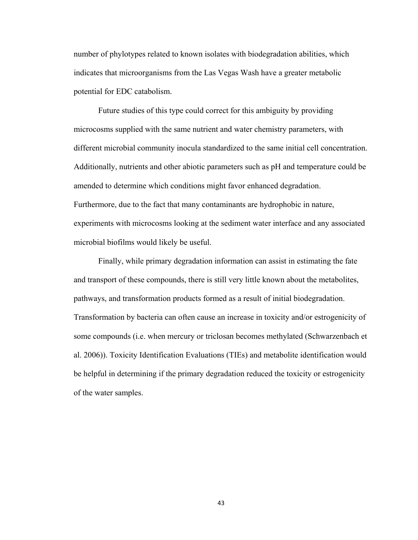number of phylotypes related to known isolates with biodegradation abilities, which indicates that microorganisms from the Las Vegas Wash have a greater metabolic potential for EDC catabolism.

Future studies of this type could correct for this ambiguity by providing microcosms supplied with the same nutrient and water chemistry parameters, with different microbial community inocula standardized to the same initial cell concentration. Additionally, nutrients and other abiotic parameters such as pH and temperature could be amended to determine which conditions might favor enhanced degradation. Furthermore, due to the fact that many contaminants are hydrophobic in nature, experiments with microcosms looking at the sediment water interface and any associated microbial biofilms would likely be useful.

Finally, while primary degradation information can assist in estimating the fate and transport of these compounds, there is still very little known about the metabolites, pathways, and transformation products formed as a result of initial biodegradation. Transformation by bacteria can often cause an increase in toxicity and/or estrogenicity of some compounds (i.e. when mercury or triclosan becomes methylated (Schwarzenbach et al. 2006)). Toxicity Identification Evaluations (TIEs) and metabolite identification would be helpful in determining if the primary degradation reduced the toxicity or estrogenicity of the water samples.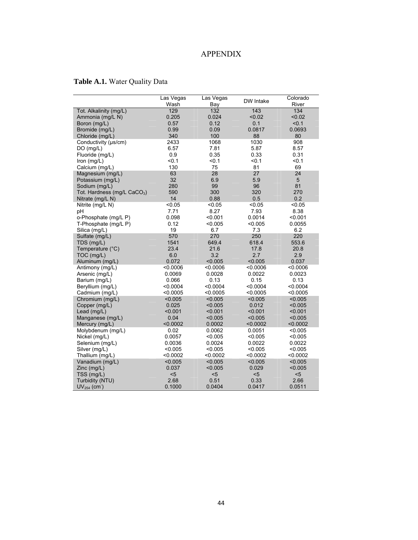# APPENDIX

# **Table A.1.** Water Quality Data

|                                         | Las Vegas | Las Vegas        | DW Intake | Colorado   |
|-----------------------------------------|-----------|------------------|-----------|------------|
|                                         | Wash      | Bay              |           | River      |
| Tot. Alkalinity (mg/L)                  | 129       | $\overline{132}$ | 143       | 134        |
| Ammonia (mg/L N)                        | 0.205     | 0.024            | < 0.02    | < 0.02     |
| Boron (mg/L)                            | 0.57      | 0.12             | 0.1       | < 0.1      |
| Bromide (mq/L)                          | 0.99      | 0.09             | 0.0817    | 0.0693     |
| Chloride (mq/L)                         | 340       | 100              | 88        | 80         |
| Conductivity (µs/cm)                    | 2433      | 1068             | 1030      | 908        |
| DO(mg/L)                                | 6.57      | 7.81             | 5.87      | 8.57       |
| Fluoride (mg/L)                         | 0.9       | 0.35             | 0.33      | 0.31       |
| Iron $(mg/L)$                           | < 0.1     | < 0.1            | < 0.1     | < 0.1      |
| Calcium (mg/L)                          | 130       | 75               | 81        | 69         |
| Magnesium (mg/L)                        | 63        | 28               | 27        | 24         |
| Potassium (mg/L)                        | 32        | 6.9              | 5.9       | $\sqrt{5}$ |
| Sodium (mg/L)                           | 280       | 99               | 96        | 81         |
| Tot. Hardness (mg/L CaCO <sub>3</sub> ) | 590       | 300              | 320       | 270        |
| Nitrate (mg/L N)                        | 14        | 0.88             | 0.5       | 0.2        |
| Nitrite (mg/L N)                        | < 0.05    | < 0.05           | < 0.05    | < 0.05     |
| рH                                      | 7.71      | 8.27             | 7.93      | 8.38       |
| o-Phosphate (mg/L P)                    | 0.098     | < 0.001          | 0.0014    | < 0.001    |
| T-Phosphate (mg/L P)                    | 0.12      | < 0.005          | < 0.005   | 0.0055     |
| Silica (mg/L)                           | 19        | 6.7              | 7.3       | 6.2        |
| Sulfate (mg/L)                          | 570       | 270              | 250       | 220        |
| TDS (mg/L)                              | 1541      | 649.4            | 618.4     | 553.6      |
| Temperature (°C)                        | 23.4      | 21.6             | 17.8      | 20.8       |
| TOC (mg/L)                              | 6.0       | 3.2              | 2.7       | 2.9        |
| Aluminum (mg/L)                         | 0.072     | < 0.005          | < 0.005   | 0.037      |
| Antimony (mg/L)                         | 0.0006    | < 0.0006         | < 0.0006  | < 0.0006   |
| Arsenic (mg/L)                          | 0.0069    | 0.0028           | 0.0022    | 0.0023     |
| Barium (mg/L)                           | 0.066     | 0.13             | 0.15      | 0.13       |
| Beryllium (mg/L)                        | < 0.0004  | < 0.0004         | < 0.0004  | < 0.0004   |
| Cadmium (mg/L)                          | < 0.0005  | < 0.0005         | < 0.0005  | < 0.0005   |
| Chromium (mg/L)                         | < 0.005   | < 0.005          | < 0.005   | < 0.005    |
| Copper (mg/L)                           | 0.025     | < 0.005          | 0.012     | < 0.005    |
| Lead (mg/L)                             | < 0.001   | < 0.001          | < 0.001   | < 0.001    |
| Manganese (mg/L)                        | 0.04      | < 0.005          | < 0.005   | < 0.005    |
| Mercury (mg/L)                          | < 0.0002  | 0.0002           | < 0.0002  | < 0.0002   |
| Molybdenum (mg/L)                       | 0.02      | 0.0062           | 0.0051    | < 0.005    |
| Nickel (mq/L)                           | 0.0057    | < 0.005          | < 0.005   | < 0.005    |
| Selenium (mg/L)                         | 0.0036    | 0.0024           | 0.0022    | 0.0022     |
| Silver (mg/L)                           | < 0.005   | < 0.005          | < 0.005   | < 0.005    |
| Thallium (mg/L)                         | < 0.0002  | < 0.0002         | < 0.0002  | < 0.0002   |
| Vanadium (mg/L)                         | < 0.005   | < 0.005          | < 0.005   | < 0.005    |
| Zinc (mg/L)                             | 0.037     | < 0.005          | 0.029     | < 0.005    |
| TSS (mg/L)                              | $5$       | $5$              | $5$       | $5$        |
| Turbidity (NTU)                         | 2.68      | 0.51             | 0.33      | 2.66       |
| $UV254$ (cm)                            | 0.1000    | 0.0404           | 0.0417    | 0.0511     |
|                                         |           |                  |           |            |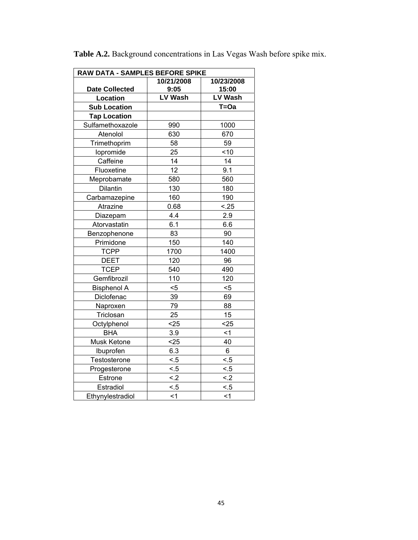| RAW DATA - SAMPLES BEFORE SPIKE |                |            |
|---------------------------------|----------------|------------|
|                                 | 10/21/2008     | 10/23/2008 |
| <b>Date Collected</b>           | 9:05           | 15:00      |
| Location                        | <b>LV Wash</b> | LV Wash    |
| <b>Sub Location</b>             |                | $T = Oa$   |
| <b>Tap Location</b>             |                |            |
| Sulfamethoxazole                | 990            | 1000       |
| Atenolol                        | 630            | 670        |
| Trimethoprim                    | 58             | 59         |
| lopromide                       | 25             | < 10       |
| Caffeine                        | 14             | 14         |
| Fluoxetine                      | 12             | 9.1        |
| Meprobamate                     | 580            | 560        |
| Dilantin                        | 130            | 180        |
| Carbamazepine                   | 160            | 190        |
| Atrazine                        | 0.68           | < .25      |
| Diazepam                        | 4.4            | 2.9        |
| Atorvastatin                    | 6.1            | 6.6        |
| Benzophenone                    | 83             | 90         |
| Primidone                       | 150            | 140        |
| <b>TCPP</b>                     | 1700           | 1400       |
| <b>DEET</b>                     | 120            | 96         |
| <b>TCEP</b>                     | 540            | 490        |
| Gemfibrozil                     | 110            | 120        |
| <b>Bisphenol A</b>              | $5$            | $5$        |
| Diclofenac                      | 39             | 69         |
| Naproxen                        | 79             | 88         |
| Triclosan                       | 25             | 15         |
| Octylphenol                     | $25$           | $25$       |
| <b>BHA</b>                      | 3.9            | $<$ 1      |
| Musk Ketone                     | $25$           | 40         |
| Ibuprofen                       | 6.3            | $\,6\,$    |
| Testosterone                    | < 5            | < 5        |
| Progesterone                    | < 5            | < 5        |
| Estrone                         | < .2           | < .2       |
| Estradiol                       | < 5            | < 5        |
| Ethynylestradiol                | $1$            | $<$ 1      |

**Table A.2.** Background concentrations in Las Vegas Wash before spike mix.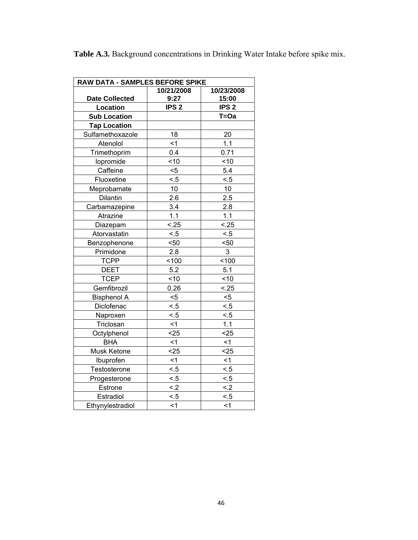| <b>Table A.3.</b> Background concentrations in Drinking Water Intake before spike mix. |  |  |
|----------------------------------------------------------------------------------------|--|--|
|                                                                                        |  |  |

| RAW DATA - SAMPLES BEFORE SPIKE |                  |                  |  |  |  |  |
|---------------------------------|------------------|------------------|--|--|--|--|
|                                 | 10/21/2008       | 10/23/2008       |  |  |  |  |
| <b>Date Collected</b>           | 9:27             | 15:00            |  |  |  |  |
| <b>Location</b>                 | IPS <sub>2</sub> | IPS <sub>2</sub> |  |  |  |  |
| <b>Sub Location</b>             |                  | $T = Oa$         |  |  |  |  |
| <b>Tap Location</b>             |                  |                  |  |  |  |  |
| Sulfamethoxazole                | 18               | 20               |  |  |  |  |
| Atenolol                        | $\leq 1$         | 1.1              |  |  |  |  |
| Trimethoprim                    | 0.4              | 0.71             |  |  |  |  |
| lopromide                       | ~10              | 10               |  |  |  |  |
| Caffeine                        | $5$              | 5.4              |  |  |  |  |
| Fluoxetine                      | < 5              | < 5              |  |  |  |  |
| Meprobamate                     | 10               | 10               |  |  |  |  |
| Dilantin                        | 2.6              | 2.5              |  |  |  |  |
| Carbamazepine                   | 3.4              | 2.8              |  |  |  |  |
| Atrazine                        | 1.1              | 1.1              |  |  |  |  |
| Diazepam                        | < .25            | < .25            |  |  |  |  |
| Atorvastatin                    | < 5              | < 5              |  |  |  |  |
| Benzophenone                    | 50               | $50$             |  |  |  |  |
| Primidone                       | 2.8              | 3                |  |  |  |  |
| <b>TCPP</b>                     | 100              | 100              |  |  |  |  |
| <b>DEET</b>                     | 5.2              | 5.1              |  |  |  |  |
| <b>TCEP</b>                     | ~10              | ~10              |  |  |  |  |
| Gemfibrozil                     | 0.26             | < .25            |  |  |  |  |
| <b>Bisphenol A</b>              | $5$              | $5$              |  |  |  |  |
| Diclofenac                      | < 5              | < 5              |  |  |  |  |
| Naproxen                        | < 5              | < 5              |  |  |  |  |
| Triclosan                       | < 1              | 1.1              |  |  |  |  |
| Octylphenol                     | $25$             | $25$             |  |  |  |  |
| <b>BHA</b>                      | < 1              | < 1              |  |  |  |  |
| Musk Ketone                     | $25$             | $25$             |  |  |  |  |
| Ibuprofen                       | $\leq$ 1         | $1$              |  |  |  |  |
| Testosterone                    | < 5              | < 5              |  |  |  |  |
| Progesterone                    | < 5              | < 5              |  |  |  |  |
| Estrone                         | < .2             | $\leq$ 2         |  |  |  |  |
| Estradiol                       | $\leq 5$         | < 5              |  |  |  |  |
| Ethynylestradiol                | $1$              | $\leq$ 1         |  |  |  |  |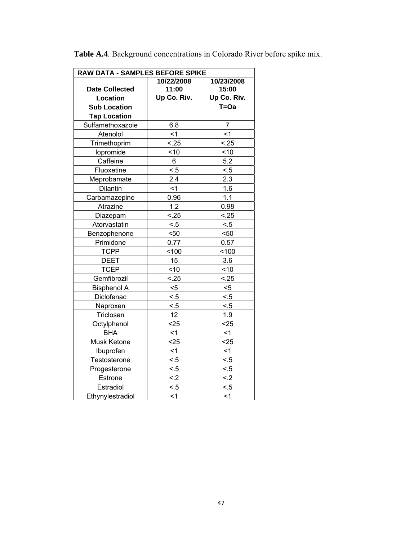| RAW DATA - SAMPLES BEFORE SPIKE |             |                |
|---------------------------------|-------------|----------------|
|                                 | 10/22/2008  | 10/23/2008     |
| <b>Date Collected</b>           | 11:00       | 15:00          |
| Location                        | Up Co. Riv. | Up Co. Riv.    |
| <b>Sub Location</b>             |             | $T = Oa$       |
| <b>Tap Location</b>             |             |                |
| Sulfamethoxazole                | 6.8         | $\overline{7}$ |
| Atenolol                        | < 1         | $\leq$ 1       |
| Trimethoprim                    | < .25       | < .25          |
| lopromide                       | ~10         | ~10            |
| Caffeine                        | 6           | 5.2            |
| Fluoxetine                      | < 5         | < 5            |
| Meprobamate                     | 2.4         | 2.3            |
| Dilantin                        | $\leq$ 1    | 1.6            |
| Carbamazepine                   | 0.96        | 1.1            |
| Atrazine                        | 1.2         | 0.98           |
| Diazepam                        | < .25       | < .25          |
| Atorvastatin                    | < 5         | < 5            |
| Benzophenone                    | 50<         | 50             |
| Primidone                       | 0.77        | 0.57           |
| <b>TCPP</b>                     | 100         | 100            |
| <b>DEET</b>                     | 15          | 3.6            |
| <b>TCEP</b>                     | ~10         | 10             |
| Gemfibrozil                     | < .25       | < .25          |
| <b>Bisphenol A</b>              | $< 5$       | $< 5$          |
| Diclofenac                      | < 5         | < 5            |
| Naproxen                        | < 5         | < 5            |
| Triclosan                       | 12          | 1.9            |
| Octylphenol                     | $25$        | $25$           |
| <b>BHA</b>                      | < 1         | $<$ 1          |
| Musk Ketone                     | $25$        | $25$           |
| Ibuprofen                       | < 1         | < 1            |
| Testosterone                    | < 5         | < 5            |
| Progesterone                    | < 5         | < 5            |
| Estrone                         | < .2        | $\leq$ 2       |
| Estradiol                       | < 5         | < 5            |
| Ethynylestradiol                | $<$ 1       | $<$ 1          |

**Table A.4**. Background concentrations in Colorado River before spike mix.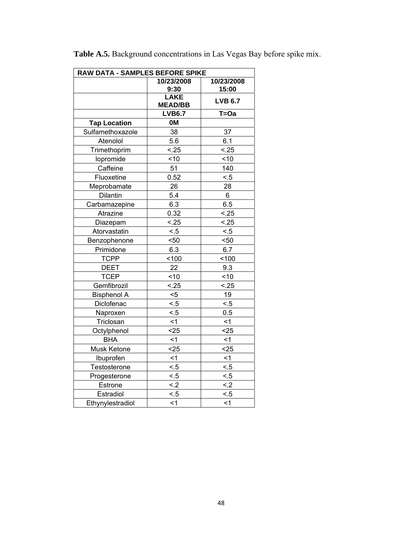| RAW DATA - SAMPLES BEFORE SPIKE |                               |                     |
|---------------------------------|-------------------------------|---------------------|
|                                 | 10/23/2008<br>9:30            | 10/23/2008<br>15:00 |
|                                 | <b>LAKE</b><br><b>MEAD/BB</b> | <b>LVB 6.7</b>      |
|                                 | <b>LVB6.7</b>                 | $T = Oa$            |
| <b>Tap Location</b>             | 0M                            |                     |
| Sulfamethoxazole                | 38                            | 37                  |
| Atenolol                        | 5.6                           | 6.1                 |
| Trimethoprim                    | < .25                         | < .25               |
| lopromide                       | ~10                           | ~10                 |
| Caffeine                        | 51                            | 140                 |
| Fluoxetine                      | 0.52                          | < 5                 |
| Meprobamate                     | 26                            | 28                  |
| Dilantin                        | 5.4                           | 6                   |
| Carbamazepine                   | 6.3                           | 6.5                 |
| Atrazine                        | 0.32                          | < .25               |
| Diazepam                        | < .25                         | < .25               |
| Atorvastatin                    | < 5                           | < 5                 |
| Benzophenone                    | $50$                          | $50$                |
| Primidone                       | 6.3                           | 6.7                 |
| <b>TCPP</b>                     | 100                           | 100                 |
| <b>DEET</b>                     | 22                            | 9.3                 |
| <b>TCEP</b>                     | ~10                           | 10                  |
| Gemfibrozil                     | < .25                         | < .25               |
| <b>Bisphenol A</b>              | $5$                           | 19                  |
| Diclofenac                      | < 5                           | < 5                 |
| Naproxen                        | < 5                           | 0.5                 |
| Triclosan                       | < 1                           | <1                  |
| Octylphenol                     | $25$                          | $25$                |
| <b>BHA</b>                      | $<$ 1                         | $<$ 1               |
| Musk Ketone                     | $25$                          | $25$                |
| Ibuprofen                       | < 1                           | $1$                 |
| Testosterone                    | < 5                           | < 5                 |
| Progesterone                    | < 5                           | < 5                 |
| Estrone                         | $\leq$ 2                      | $\leq$ 2            |
| Estradiol                       | < 5                           | < 5                 |
| Ethynylestradiol                | < 1                           | < 1                 |

**Table A.5.** Background concentrations in Las Vegas Bay before spike mix.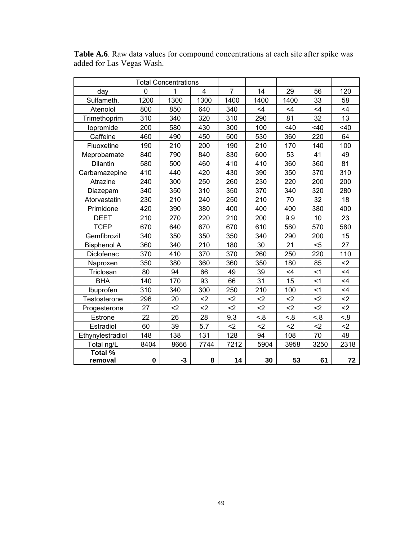|                    |          | <b>Total Concentrations</b> |      |      |      |      |          |       |
|--------------------|----------|-----------------------------|------|------|------|------|----------|-------|
| day                | $\Omega$ | 1                           | 4    | 7    | 14   | 29   | 56       | 120   |
| Sulfameth.         | 1200     | 1300                        | 1300 | 1400 | 1400 | 1400 | 33       | 58    |
| Atenolol           | 800      | 850                         | 640  | 340  | <4   | <4   | $\leq 4$ | <4    |
| Trimethoprim       | 310      | 340                         | 320  | 310  | 290  | 81   | 32       | 13    |
| lopromide          | 200      | 580                         | 430  | 300  | 100  | 40   | 40       | 40    |
| Caffeine           | 460      | 490                         | 450  | 500  | 530  | 360  | 220      | 64    |
| Fluoxetine         | 190      | 210                         | 200  | 190  | 210  | 170  | 140      | 100   |
| Meprobamate        | 840      | 790                         | 840  | 830  | 600  | 53   | 41       | 49    |
| Dilantin           | 580      | 500                         | 460  | 410  | 410  | 360  | 360      | 81    |
| Carbamazepine      | 410      | 440                         | 420  | 430  | 390  | 350  | 370      | 310   |
| Atrazine           | 240      | 300                         | 250  | 260  | 230  | 220  | 200      | 200   |
| Diazepam           | 340      | 350                         | 310  | 350  | 370  | 340  | 320      | 280   |
| Atorvastatin       | 230      | 210                         | 240  | 250  | 210  | 70   | 32       | 18    |
| Primidone          | 420      | 390                         | 380  | 400  | 400  | 400  | 380      | 400   |
| <b>DEET</b>        | 210      | 270                         | 220  | 210  | 200  | 9.9  | 10       | 23    |
| <b>TCEP</b>        | 670      | 640                         | 670  | 670  | 610  | 580  | 570      | 580   |
| Gemfibrozil        | 340      | 350                         | 350  | 350  | 340  | 290  | 200      | 15    |
| <b>Bisphenol A</b> | 360      | 340                         | 210  | 180  | 30   | 21   | $5$      | 27    |
| Diclofenac         | 370      | 410                         | 370  | 370  | 260  | 250  | 220      | 110   |
| Naproxen           | 350      | 380                         | 360  | 360  | 350  | 180  | 85       | $2$   |
| Triclosan          | 80       | 94                          | 66   | 49   | 39   | <4   | $\leq$ 1 | <4    |
| <b>BHA</b>         | 140      | 170                         | 93   | 66   | 31   | 15   | < 1      | <4    |
| Ibuprofen          | 310      | 340                         | 300  | 250  | 210  | 100  | $<$ 1    | $<$ 4 |
| Testosterone       | 296      | 20                          | $2$  | $2$  | $2$  | $2$  | $2$      | $2$   |
| Progesterone       | 27       | $2$                         | $2$  | $2$  | $2$  | $2$  | $2$      | $2$   |
| Estrone            | 22       | 26                          | 28   | 9.3  | 8.5  | 3.5  | 3.5      | 8.5   |
| Estradiol          | 60       | 39                          | 5.7  | $2$  | $2$  | $2$  | $2$      | $2$   |
| Ethynylestradiol   | 148      | 138                         | 131  | 128  | 94   | 108  | 70       | 48    |
| Total ng/L         | 8404     | 8666                        | 7744 | 7212 | 5904 | 3958 | 3250     | 2318  |
| Total %            |          |                             |      |      |      |      |          |       |
| removal            | 0        | $-3$                        | 8    | 14   | 30   | 53   | 61       | 72    |

**Table A.6**. Raw data values for compound concentrations at each site after spike was added for Las Vegas Wash.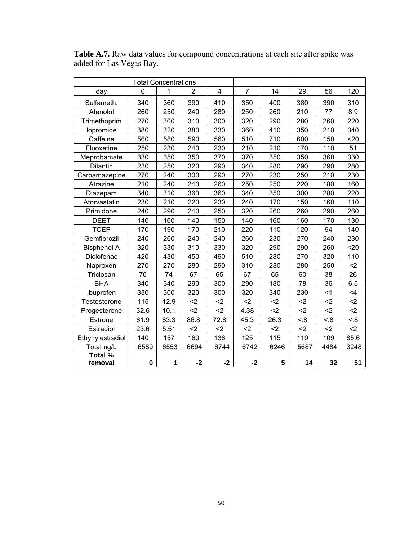|                    | <b>Total Concentrations</b> |      |      |      |                |      |      |       |       |
|--------------------|-----------------------------|------|------|------|----------------|------|------|-------|-------|
| day                | $\Omega$                    | 1    | 2    | 4    | $\overline{7}$ | 14   | 29   | 56    | 120   |
| Sulfameth.         | 340                         | 360  | 390  | 410  | 350            | 400  | 380  | 390   | 310   |
| Atenolol           | 260                         | 250  | 240  | 280  | 250            | 260  | 210  | 77    | 8.9   |
| Trimethoprim       | 270                         | 300  | 310  | 300  | 320            | 290  | 280  | 260   | 220   |
| lopromide          | 380                         | 320  | 380  | 330  | 360            | 410  | 350  | 210   | 340   |
| Caffeine           | 560                         | 580  | 590  | 560  | 510            | 710  | 600  | 150   | 20    |
| Fluoxetine         | 250                         | 230  | 240  | 230  | 210            | 210  | 170  | 110   | 51    |
| Meprobamate        | 330                         | 350  | 350  | 370  | 370            | 350  | 350  | 360   | 330   |
| Dilantin           | 230                         | 250  | 320  | 290  | 340            | 280  | 290  | 290   | 280   |
| Carbamazepine      | 270                         | 240  | 300  | 290  | 270            | 230  | 250  | 210   | 230   |
| Atrazine           | 210                         | 240  | 240  | 260  | 250            | 250  | 220  | 180   | 160   |
| Diazepam           | 340                         | 310  | 360  | 360  | 340            | 350  | 300  | 280   | 220   |
| Atorvastatin       | 230                         | 210  | 220  | 230  | 240            | 170  | 150  | 160   | 110   |
| Primidone          | 240                         | 290  | 240  | 250  | 320            | 260  | 260  | 290   | 260   |
| <b>DEET</b>        | 140                         | 160  | 140  | 150  | 140            | 160  | 160  | 170   | 130   |
| <b>TCEP</b>        | 170                         | 190  | 170  | 210  | 220            | 110  | 120  | 94    | 140   |
| Gemfibrozil        | 240                         | 260  | 240  | 240  | 260            | 230  | 270  | 240   | 230   |
| <b>Bisphenol A</b> | 320                         | 330  | 310  | 330  | 320            | 290  | 290  | 260   | 20    |
| Diclofenac         | 420                         | 430  | 450  | 490  | 510            | 280  | 270  | 320   | 110   |
| Naproxen           | 270                         | 270  | 280  | 290  | 310            | 280  | 280  | 250   | $2$   |
| Triclosan          | 76                          | 74   | 67   | 65   | 67             | 65   | 60   | 38    | 26    |
| <b>BHA</b>         | 340                         | 340  | 290  | 300  | 290            | 180  | 78   | 36    | 6.5   |
| Ibuprofen          | 330                         | 300  | 320  | 300  | 320            | 340  | 230  | $<$ 1 | $<$ 4 |
| Testosterone       | 115                         | 12.9 | $2$  | $2$  | $2$            | $2$  | $2$  | $2$   | $2$   |
| Progesterone       | 32.6                        | 10.1 | $2$  | $2$  | 4.38           | $2$  | $2$  | $2$   | $2$   |
| Estrone            | 61.9                        | 83.3 | 86.8 | 72.8 | 45.3           | 26.3 | 8.5  | 3.5   | < .8  |
| Estradiol          | 23.6                        | 5.51 | $2$  | $2$  | $2$            | $2$  | $2$  | $2$   | $2$   |
| Ethynylestradiol   | 140                         | 157  | 160  | 136  | 125            | 115  | 119  | 109   | 85.6  |
| Total ng/L         | 6589                        | 6553 | 6694 | 6744 | 6742           | 6246 | 5687 | 4484  | 3248  |
| Total %<br>removal | 0                           | 1    | $-2$ | $-2$ | $-2$           | 5    | 14   | 32    | 51    |

**Table A.7.** Raw data values for compound concentrations at each site after spike was added for Las Vegas Bay.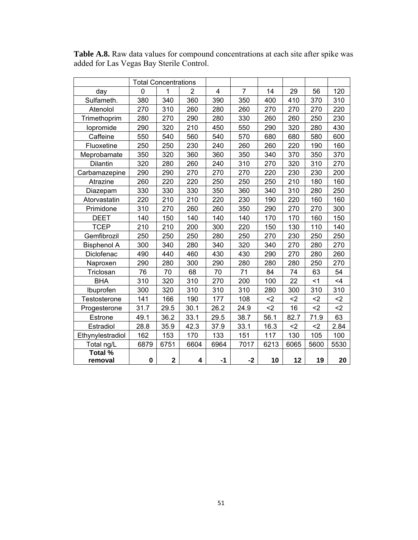**Table A.8.** Raw data values for compound concentrations at each site after spike was added for Las Vegas Bay Sterile Control.

|                    | <b>Total Concentrations</b> |             |                |                |                |      |      |      |      |
|--------------------|-----------------------------|-------------|----------------|----------------|----------------|------|------|------|------|
| day                | $\Omega$                    | 1           | $\overline{2}$ | $\overline{4}$ | $\overline{7}$ | 14   | 29   | 56   | 120  |
| Sulfameth.         | 380                         | 340         | 360            | 390            | 350            | 400  | 410  | 370  | 310  |
| Atenolol           | 270                         | 310         | 260            | 280            | 260            | 270  | 270  | 270  | 220  |
| Trimethoprim       | 280                         | 270         | 290            | 280            | 330            | 260  | 260  | 250  | 230  |
| lopromide          | 290                         | 320         | 210            | 450            | 550            | 290  | 320  | 280  | 430  |
| Caffeine           | 550                         | 540         | 560            | 540            | 570            | 680  | 680  | 580  | 600  |
| Fluoxetine         | 250                         | 250         | 230            | 240            | 260            | 260  | 220  | 190  | 160  |
| Meprobamate        | 350                         | 320         | 360            | 360            | 350            | 340  | 370  | 350  | 370  |
| Dilantin           | 320                         | 280         | 260            | 240            | 310            | 270  | 320  | 310  | 270  |
| Carbamazepine      | 290                         | 290         | 270            | 270            | 270            | 220  | 230  | 230  | 200  |
| Atrazine           | 260                         | 220         | 220            | 250            | 250            | 250  | 210  | 180  | 160  |
| Diazepam           | 330                         | 330         | 330            | 350            | 360            | 340  | 310  | 280  | 250  |
| Atorvastatin       | 220                         | 210         | 210            | 220            | 230            | 190  | 220  | 160  | 160  |
| Primidone          | 310                         | 270         | 260            | 260            | 350            | 290  | 270  | 270  | 300  |
| <b>DEET</b>        | 140                         | 150         | 140            | 140            | 140            | 170  | 170  | 160  | 150  |
| <b>TCEP</b>        | 210                         | 210         | 200            | 300            | 220            | 150  | 130  | 110  | 140  |
| Gemfibrozil        | 250                         | 250         | 250            | 280            | 250            | 270  | 230  | 250  | 250  |
| <b>Bisphenol A</b> | 300                         | 340         | 280            | 340            | 320            | 340  | 270  | 280  | 270  |
| Diclofenac         | 490                         | 440         | 460            | 430            | 430            | 290  | 270  | 280  | 260  |
| Naproxen           | 290                         | 280         | 300            | 290            | 280            | 280  | 280  | 250  | 270  |
| Triclosan          | 76                          | 70          | 68             | 70             | 71             | 84   | 74   | 63   | 54   |
| <b>BHA</b>         | 310                         | 320         | 310            | 270            | 200            | 100  | 22   | < 1  | <4   |
| Ibuprofen          | 300                         | 320         | 310            | 310            | 310            | 280  | 300  | 310  | 310  |
| Testosterone       | 141                         | 166         | 190            | 177            | 108            | $2$  | $2$  | $2$  | $2$  |
| Progesterone       | 31.7                        | 29.5        | 30.1           | 26.2           | 24.9           | $2$  | 16   | $2$  | $2$  |
| Estrone            | 49.1                        | 36.2        | 33.1           | 29.5           | 38.7           | 56.1 | 82.7 | 71.9 | 63   |
| Estradiol          | 28.8                        | 35.9        | 42.3           | 37.9           | 33.1           | 16.3 | $2$  | $2$  | 2.84 |
| Ethynylestradiol   | 162                         | 153         | 170            | 133            | 151            | 117  | 130  | 105  | 100  |
| Total ng/L         | 6879                        | 6751        | 6604           | 6964           | 7017           | 6213 | 6065 | 5600 | 5530 |
| Total %            |                             |             |                |                |                |      |      |      |      |
| removal            | $\pmb{0}$                   | $\mathbf 2$ | 4              | -1             | $-2$           | 10   | 12   | 19   | 20   |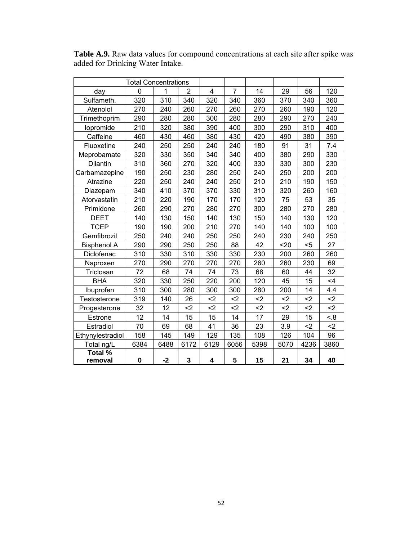|                    | Total Concentrations |      |                |      |                |      |      |      |          |
|--------------------|----------------------|------|----------------|------|----------------|------|------|------|----------|
| day                | $\Omega$             | 1    | $\overline{2}$ | 4    | $\overline{7}$ | 14   | 29   | 56   | 120      |
| Sulfameth.         | 320                  | 310  | 340            | 320  | 340            | 360  | 370  | 340  | 360      |
| Atenolol           | 270                  | 240  | 260            | 270  | 260            | 270  | 260  | 190  | 120      |
| Trimethoprim       | 290                  | 280  | 280            | 300  | 280            | 280  | 290  | 270  | 240      |
| lopromide          | 210                  | 320  | 380            | 390  | 400            | 300  | 290  | 310  | 400      |
| Caffeine           | 460                  | 430  | 460            | 380  | 430            | 420  | 490  | 380  | 390      |
| Fluoxetine         | 240                  | 250  | 250            | 240  | 240            | 180  | 91   | 31   | 7.4      |
| Meprobamate        | 320                  | 330  | 350            | 340  | 340            | 400  | 380  | 290  | 330      |
| Dilantin           | 310                  | 360  | 270            | 320  | 400            | 330  | 330  | 300  | 230      |
| Carbamazepine      | 190                  | 250  | 230            | 280  | 250            | 240  | 250  | 200  | 200      |
| Atrazine           | 220                  | 250  | 240            | 240  | 250            | 210  | 210  | 190  | 150      |
| Diazepam           | 340                  | 410  | 370            | 370  | 330            | 310  | 320  | 260  | 160      |
| Atorvastatin       | 210                  | 220  | 190            | 170  | 170            | 120  | 75   | 53   | 35       |
| Primidone          | 260                  | 290  | 270            | 280  | 270            | 300  | 280  | 270  | 280      |
| <b>DEET</b>        | 140                  | 130  | 150            | 140  | 130            | 150  | 140  | 130  | 120      |
| <b>TCEP</b>        | 190                  | 190  | 200            | 210  | 270            | 140  | 140  | 100  | 100      |
| Gemfibrozil        | 250                  | 240  | 240            | 250  | 250            | 240  | 230  | 240  | 250      |
| <b>Bisphenol A</b> | 290                  | 290  | 250            | 250  | 88             | 42   | 20   | $5$  | 27       |
| Diclofenac         | 310                  | 330  | 310            | 330  | 330            | 230  | 200  | 260  | 260      |
| Naproxen           | 270                  | 290  | 270            | 270  | 270            | 260  | 260  | 230  | 69       |
| Triclosan          | 72                   | 68   | 74             | 74   | 73             | 68   | 60   | 44   | 32       |
| <b>BHA</b>         | 320                  | 330  | 250            | 220  | 200            | 120  | 45   | 15   | $\leq 4$ |
| Ibuprofen          | 310                  | 300  | 280            | 300  | 300            | 280  | 200  | 14   | 4.4      |
| Testosterone       | 319                  | 140  | 26             | $2$  | $2$            | $2$  | $2$  | $2$  | $2$      |
| Progesterone       | 32                   | 12   | $2$            | $2$  | $2$            | $2$  | $2$  | $2$  | $2$      |
| Estrone            | 12                   | 14   | 15             | 15   | 14             | 17   | 29   | 15   | 8.5      |
| Estradiol          | 70                   | 69   | 68             | 41   | 36             | 23   | 3.9  | $2$  | $2$      |
| Ethynylestradiol   | 158                  | 145  | 149            | 129  | 135            | 108  | 126  | 104  | 96       |
| Total ng/L         | 6384                 | 6488 | 6172           | 6129 | 6056           | 5398 | 5070 | 4236 | 3860     |
| Total %            |                      |      |                |      |                |      |      |      |          |
| removal            | 0                    | $-2$ | 3              | 4    | 5              | 15   | 21   | 34   | 40       |

**Table A.9.** Raw data values for compound concentrations at each site after spike was added for Drinking Water Intake.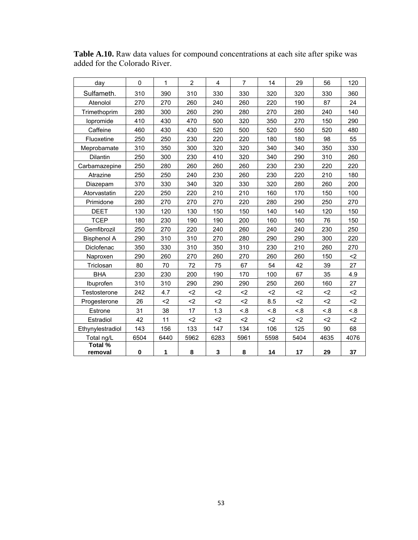| day                       | 0         | 1    | $\overline{2}$ | 4    | 7    | 14   | 29   | 56   | 120  |
|---------------------------|-----------|------|----------------|------|------|------|------|------|------|
| Sulfameth.                | 310       | 390  | 310            | 330  | 330  | 320  | 320  | 330  | 360  |
| Atenolol                  | 270       | 270  | 260            | 240  | 260  | 220  | 190  | 87   | 24   |
| Trimethoprim              | 280       | 300  | 260            | 290  | 280  | 270  | 280  | 240  | 140  |
| lopromide                 | 410       | 430  | 470            | 500  | 320  | 350  | 270  | 150  | 290  |
| Caffeine                  | 460       | 430  | 430            | 520  | 500  | 520  | 550  | 520  | 480  |
| Fluoxetine                | 250       | 250  | 230            | 220  | 220  | 180  | 180  | 98   | 55   |
| Meprobamate               | 310       | 350  | 300            | 320  | 320  | 340  | 340  | 350  | 330  |
| Dilantin                  | 250       | 300  | 230            | 410  | 320  | 340  | 290  | 310  | 260  |
| Carbamazepine             | 250       | 280  | 260            | 260  | 260  | 230  | 230  | 220  | 220  |
| Atrazine                  | 250       | 250  | 240            | 230  | 260  | 230  | 220  | 210  | 180  |
| Diazepam                  | 370       | 330  | 340            | 320  | 330  | 320  | 280  | 260  | 200  |
| Atorvastatin              | 220       | 250  | 220            | 210  | 210  | 160  | 170  | 150  | 100  |
| Primidone                 | 280       | 270  | 270            | 270  | 220  | 280  | 290  | 250  | 270  |
| <b>DEET</b>               | 130       | 120  | 130            | 150  | 150  | 140  | 140  | 120  | 150  |
| <b>TCEP</b>               | 180       | 230  | 190            | 190  | 200  | 160  | 160  | 76   | 150  |
| Gemfibrozil               | 250       | 270  | 220            | 240  | 260  | 240  | 240  | 230  | 250  |
| <b>Bisphenol A</b>        | 290       | 310  | 310            | 270  | 280  | 290  | 290  | 300  | 220  |
| Diclofenac                | 350       | 330  | 310            | 350  | 310  | 230  | 210  | 260  | 270  |
| Naproxen                  | 290       | 260  | 270            | 260  | 270  | 260  | 260  | 150  | $2$  |
| Triclosan                 | 80        | 70   | 72             | 75   | 67   | 54   | 42   | 39   | 27   |
| <b>BHA</b>                | 230       | 230  | 200            | 190  | 170  | 100  | 67   | 35   | 4.9  |
| Ibuprofen                 | 310       | 310  | 290            | 290  | 290  | 250  | 260  | 160  | 27   |
| Testosterone              | 242       | 4.7  | $2$            | $2$  | $2$  | $2$  | $2$  | $2$  | $2$  |
| Progesterone              | 26        | $2$  | $2$            | $2$  | $2$  | 8.5  | $2$  | $2$  | $2$  |
| Estrone                   | 31        | 38   | 17             | 1.3  | < .8 | < 8  | < .8 | < .8 | 8.5  |
| Estradiol                 | 42        | 11   | $2$            | $2$  | $2$  | $2$  | $2$  | $2$  | $2$  |
| Ethynylestradiol          | 143       | 156  | 133            | 147  | 134  | 106  | 125  | 90   | 68   |
| Total ng/L                | 6504      | 6440 | 5962           | 6283 | 5961 | 5598 | 5404 | 4635 | 4076 |
| <b>Total %</b><br>removal | $\pmb{0}$ | 1    | 8              | 3    | 8    | 14   | 17   | 29   | 37   |

**Table A.10.** Raw data values for compound concentrations at each site after spike was added for the Colorado River.

L.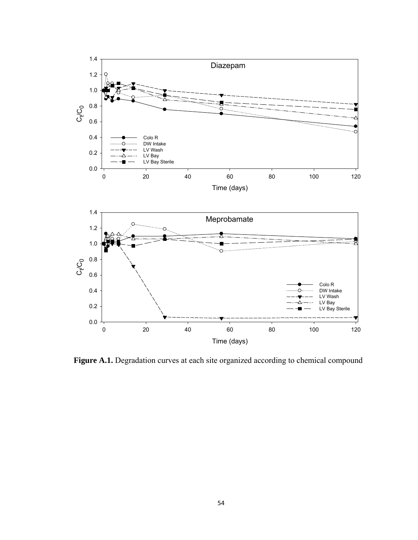

Figure A.1. Degradation curves at each site organized according to chemical compound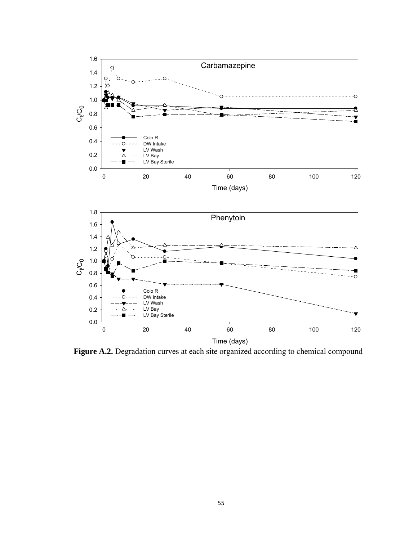

Figure A.2. Degradation curves at each site organized according to chemical compound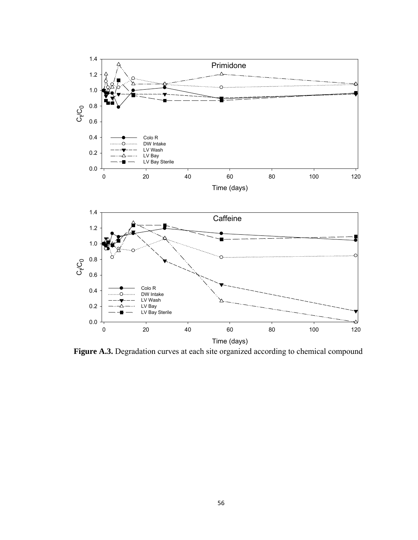

Figure A.3. Degradation curves at each site organized according to chemical compound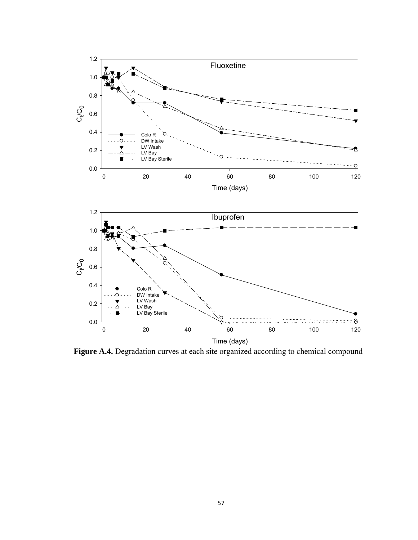

Figure A.4. Degradation curves at each site organized according to chemical compound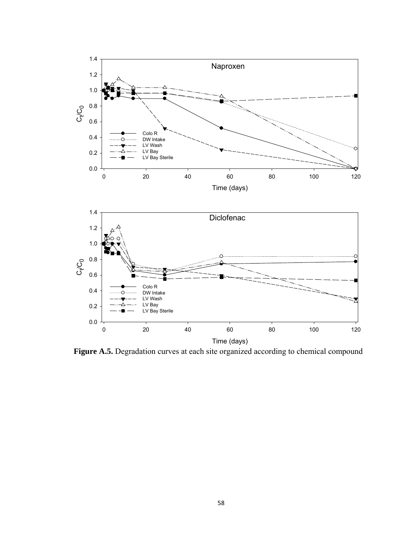



Figure A.5. Degradation curves at each site organized according to chemical compound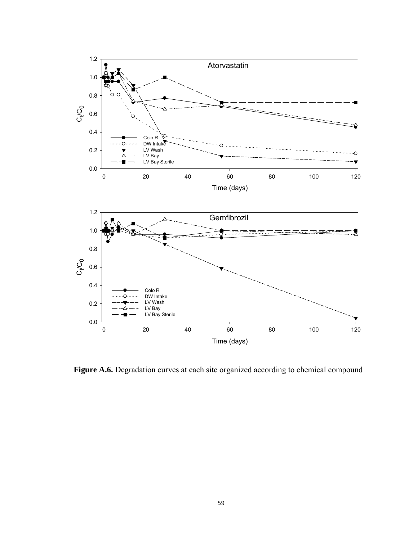

Figure A.6. Degradation curves at each site organized according to chemical compound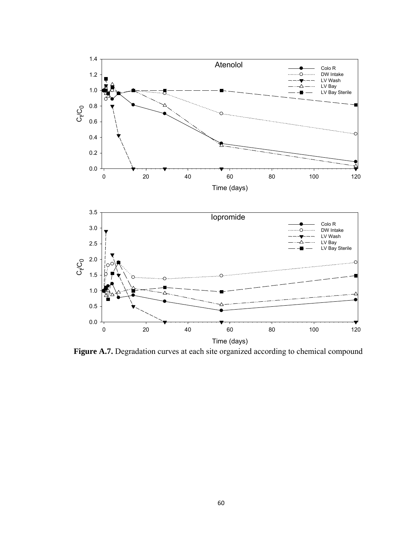

Figure A.7. Degradation curves at each site organized according to chemical compound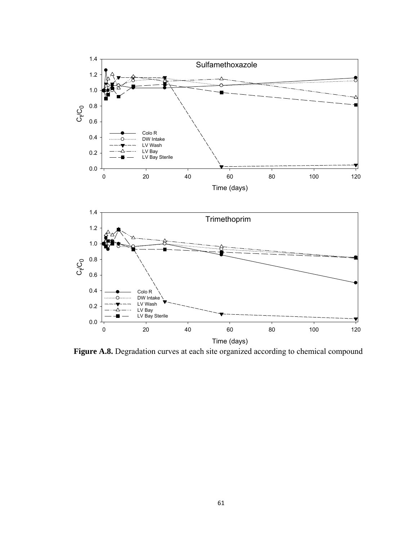

Figure A.8. Degradation curves at each site organized according to chemical compound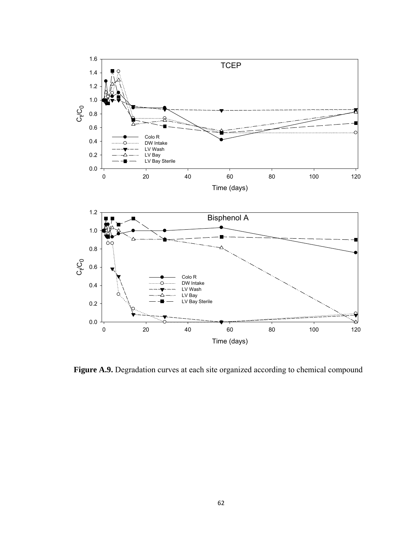

Figure A.9. Degradation curves at each site organized according to chemical compound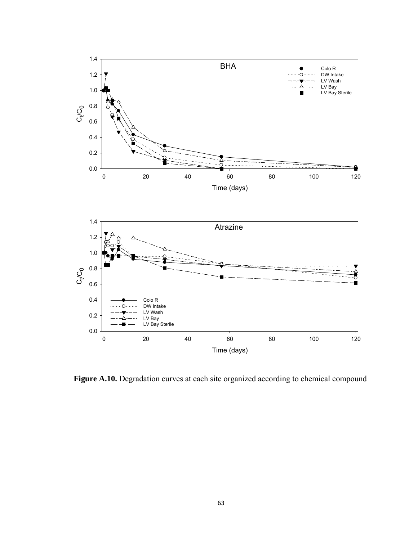

Figure A.10. Degradation curves at each site organized according to chemical compound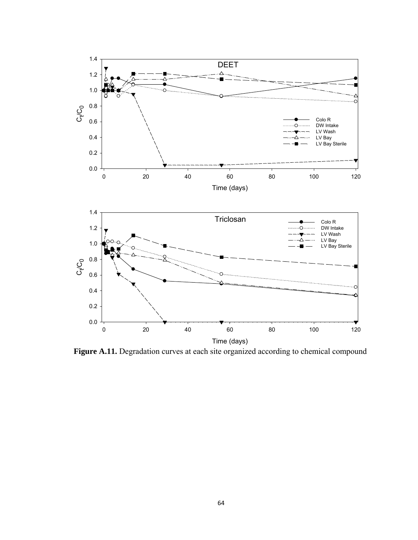

Figure A.11. Degradation curves at each site organized according to chemical compound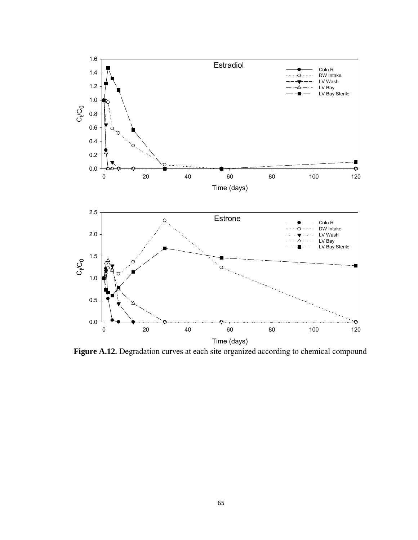

Figure A.12. Degradation curves at each site organized according to chemical compound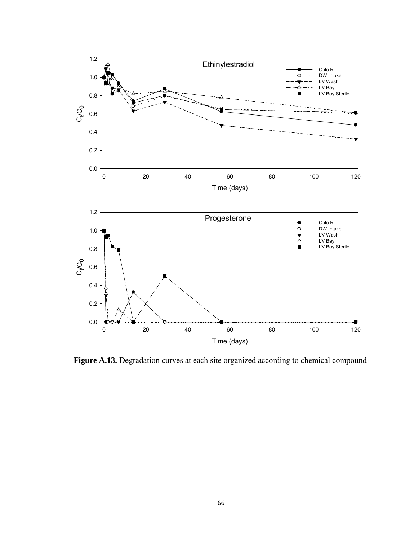

Figure A.13. Degradation curves at each site organized according to chemical compound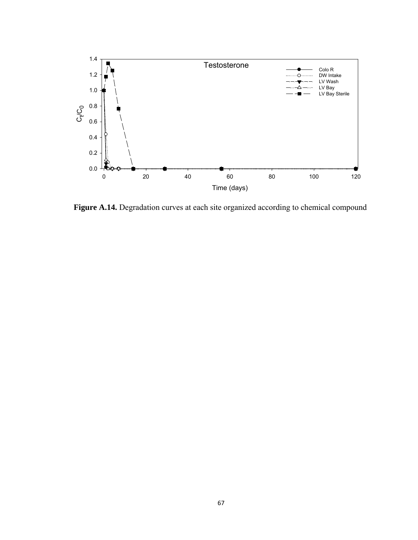

Figure A.14. Degradation curves at each site organized according to chemical compound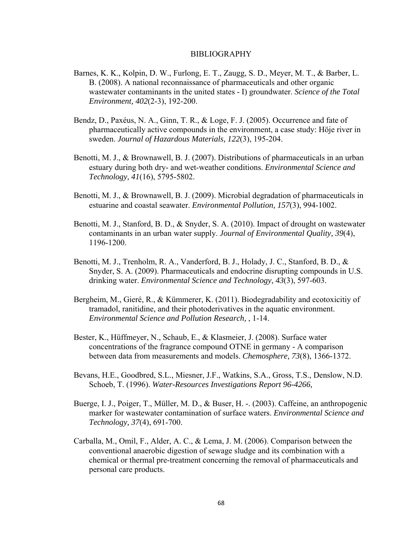## BIBLIOGRAPHY

- Barnes, K. K., Kolpin, D. W., Furlong, E. T., Zaugg, S. D., Meyer, M. T., & Barber, L. B. (2008). A national reconnaissance of pharmaceuticals and other organic wastewater contaminants in the united states - I) groundwater. *Science of the Total Environment, 402*(2-3), 192-200.
- Bendz, D., Paxéus, N. A., Ginn, T. R., & Loge, F. J. (2005). Occurrence and fate of pharmaceutically active compounds in the environment, a case study: Höje river in sweden. *Journal of Hazardous Materials, 122*(3), 195-204.
- Benotti, M. J., & Brownawell, B. J. (2007). Distributions of pharmaceuticals in an urban estuary during both dry- and wet-weather conditions. *Environmental Science and Technology, 41*(16), 5795-5802.
- Benotti, M. J., & Brownawell, B. J. (2009). Microbial degradation of pharmaceuticals in estuarine and coastal seawater. *Environmental Pollution, 157*(3), 994-1002.
- Benotti, M. J., Stanford, B. D., & Snyder, S. A. (2010). Impact of drought on wastewater contaminants in an urban water supply. *Journal of Environmental Quality, 39*(4), 1196-1200.
- Benotti, M. J., Trenholm, R. A., Vanderford, B. J., Holady, J. C., Stanford, B. D., & Snyder, S. A. (2009). Pharmaceuticals and endocrine disrupting compounds in U.S. drinking water. *Environmental Science and Technology, 43*(3), 597-603.
- Bergheim, M., Gieré, R., & Kümmerer, K. (2011). Biodegradability and ecotoxicitiy of tramadol, ranitidine, and their photoderivatives in the aquatic environment. *Environmental Science and Pollution Research,* , 1-14.
- Bester, K., Hüffmeyer, N., Schaub, E., & Klasmeier, J. (2008). Surface water concentrations of the fragrance compound OTNE in germany - A comparison between data from measurements and models. *Chemosphere, 73*(8), 1366-1372.
- Bevans, H.E., Goodbred, S.L., Miesner, J.F., Watkins, S.A., Gross, T.S., Denslow, N.D. Schoeb, T. (1996). *Water-Resources Investigations Report 96-4266,*
- Buerge, I. J., Poiger, T., Müller, M. D., & Buser, H. -. (2003). Caffeine, an anthropogenic marker for wastewater contamination of surface waters. *Environmental Science and Technology, 37*(4), 691-700.
- Carballa, M., Omil, F., Alder, A. C., & Lema, J. M. (2006). Comparison between the conventional anaerobic digestion of sewage sludge and its combination with a chemical or thermal pre-treatment concerning the removal of pharmaceuticals and personal care products.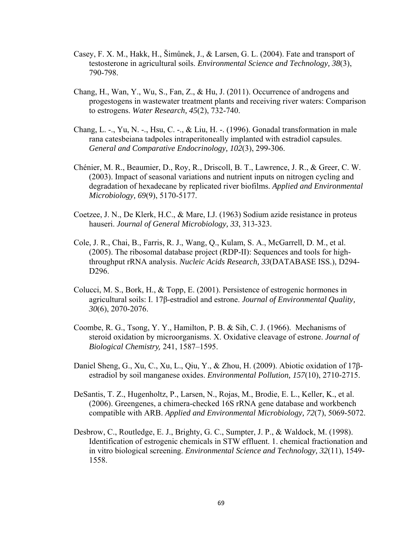- Casey, F. X. M., Hakk, H., Šimůnek, J., & Larsen, G. L. (2004). Fate and transport of testosterone in agricultural soils. *Environmental Science and Technology, 38*(3), 790-798.
- Chang, H., Wan, Y., Wu, S., Fan, Z., & Hu, J. (2011). Occurrence of androgens and progestogens in wastewater treatment plants and receiving river waters: Comparison to estrogens. *Water Research, 45*(2), 732-740.
- Chang, L. -., Yu, N. -., Hsu, C. -., & Liu, H. -. (1996). Gonadal transformation in male rana catesbeiana tadpoles intraperitoneally implanted with estradiol capsules. *General and Comparative Endocrinology, 102*(3), 299-306.
- Chénier, M. R., Beaumier, D., Roy, R., Driscoll, B. T., Lawrence, J. R., & Greer, C. W. (2003). Impact of seasonal variations and nutrient inputs on nitrogen cycling and degradation of hexadecane by replicated river biofilms. *Applied and Environmental Microbiology, 69*(9), 5170-5177.
- Coetzee, J. N., De Klerk, H.C., & Mare, I.J. (1963) Sodium azide resistance in proteus hauseri. *Journal of General Microbiology, 33*, 313-323.
- Cole, J. R., Chai, B., Farris, R. J., Wang, Q., Kulam, S. A., McGarrell, D. M., et al. (2005). The ribosomal database project (RDP-II): Sequences and tools for highthroughput rRNA analysis. *Nucleic Acids Research, 33*(DATABASE ISS.), D294- D<sub>296</sub>.
- Colucci, M. S., Bork, H., & Topp, E. (2001). Persistence of estrogenic hormones in agricultural soils: I. 17β-estradiol and estrone. *Journal of Environmental Quality, 30*(6), 2070-2076.
- Coombe, R. G., Tsong, Y. Y., Hamilton, P. B. & Sih, C. J. (1966). Mechanisms of steroid oxidation by microorganisms. X. Oxidative cleavage of estrone. *Journal of Biological Chemistry,* 241, 1587–1595.
- Daniel Sheng, G., Xu, C., Xu, L., Qiu, Y., & Zhou, H. (2009). Abiotic oxidation of 17βestradiol by soil manganese oxides. *Environmental Pollution, 157*(10), 2710-2715.
- DeSantis, T. Z., Hugenholtz, P., Larsen, N., Rojas, M., Brodie, E. L., Keller, K., et al. (2006). Greengenes, a chimera-checked 16S rRNA gene database and workbench compatible with ARB. *Applied and Environmental Microbiology, 72*(7), 5069-5072.
- Desbrow, C., Routledge, E. J., Brighty, G. C., Sumpter, J. P., & Waldock, M. (1998). Identification of estrogenic chemicals in STW effluent. 1. chemical fractionation and in vitro biological screening. *Environmental Science and Technology, 32*(11), 1549- 1558.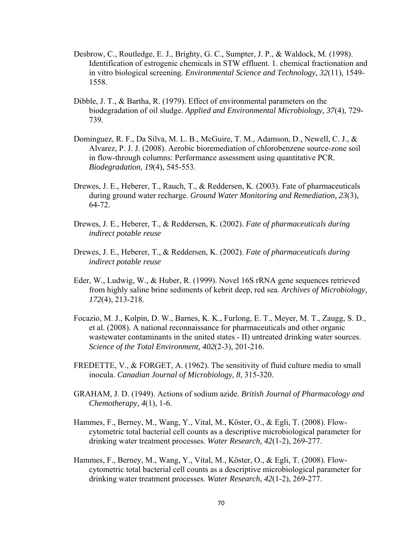- Desbrow, C., Routledge, E. J., Brighty, G. C., Sumpter, J. P., & Waldock, M. (1998). Identification of estrogenic chemicals in STW effluent. 1. chemical fractionation and in vitro biological screening. *Environmental Science and Technology, 32*(11), 1549- 1558.
- Dibble, J. T., & Bartha, R. (1979). Effect of environmental parameters on the biodegradation of oil sludge. *Applied and Environmental Microbiology, 37*(4), 729- 739.
- Dominguez, R. F., Da Silva, M. L. B., McGuire, T. M., Adamson, D., Newell, C. J., & Alvarez, P. J. J. (2008). Aerobic bioremediation of chlorobenzene source-zone soil in flow-through columns: Performance assessment using quantitative PCR. *Biodegradation, 19*(4), 545-553.
- Drewes, J. E., Heberer, T., Rauch, T., & Reddersen, K. (2003). Fate of pharmaceuticals during ground water recharge. *Ground Water Monitoring and Remediation, 23*(3), 64-72.
- Drewes, J. E., Heberer, T., & Reddersen, K. (2002). *Fate of pharmaceuticals during indirect potable reuse*
- Drewes, J. E., Heberer, T., & Reddersen, K. (2002). *Fate of pharmaceuticals during indirect potable reuse*
- Eder, W., Ludwig, W., & Huber, R. (1999). Novel 16S rRNA gene sequences retrieved from highly saline brine sediments of kebrit deep, red sea. *Archives of Microbiology, 172*(4), 213-218.
- Focazio, M. J., Kolpin, D. W., Barnes, K. K., Furlong, E. T., Meyer, M. T., Zaugg, S. D., et al. (2008). A national reconnaissance for pharmaceuticals and other organic wastewater contaminants in the united states - II) untreated drinking water sources. *Science of the Total Environment, 402*(2-3), 201-216.
- FREDETTE, V., & FORGET, A. (1962). The sensitivity of fluid culture media to small inocula. *Canadian Journal of Microbiology, 8*, 315-320.
- GRAHAM, J. D. (1949). Actions of sodium azide. *British Journal of Pharmacology and Chemotherapy, 4*(1), 1-6.
- Hammes, F., Berney, M., Wang, Y., Vital, M., Köster, O., & Egli, T. (2008). Flowcytometric total bacterial cell counts as a descriptive microbiological parameter for drinking water treatment processes. *Water Research, 42*(1-2), 269-277.
- Hammes, F., Berney, M., Wang, Y., Vital, M., Köster, O., & Egli, T. (2008). Flowcytometric total bacterial cell counts as a descriptive microbiological parameter for drinking water treatment processes. *Water Research, 42*(1-2), 269-277.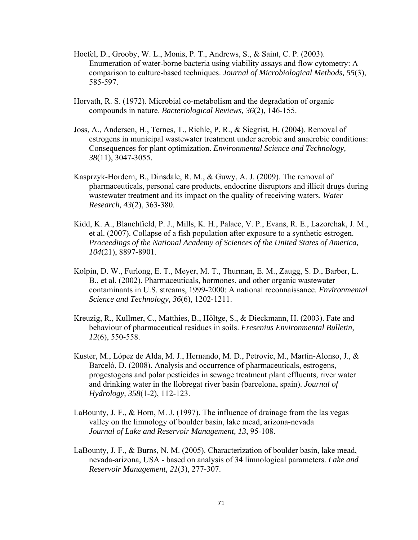- Hoefel, D., Grooby, W. L., Monis, P. T., Andrews, S., & Saint, C. P. (2003). Enumeration of water-borne bacteria using viability assays and flow cytometry: A comparison to culture-based techniques. *Journal of Microbiological Methods, 55*(3), 585-597.
- Horvath, R. S. (1972). Microbial co-metabolism and the degradation of organic compounds in nature. *Bacteriological Reviews, 36*(2), 146-155.
- Joss, A., Andersen, H., Ternes, T., Richle, P. R., & Siegrist, H. (2004). Removal of estrogens in municipal wastewater treatment under aerobic and anaerobic conditions: Consequences for plant optimization. *Environmental Science and Technology, 38*(11), 3047-3055.
- Kasprzyk-Hordern, B., Dinsdale, R. M., & Guwy, A. J. (2009). The removal of pharmaceuticals, personal care products, endocrine disruptors and illicit drugs during wastewater treatment and its impact on the quality of receiving waters. *Water Research, 43*(2), 363-380.
- Kidd, K. A., Blanchfield, P. J., Mills, K. H., Palace, V. P., Evans, R. E., Lazorchak, J. M., et al. (2007). Collapse of a fish population after exposure to a synthetic estrogen. *Proceedings of the National Academy of Sciences of the United States of America, 104*(21), 8897-8901.
- Kolpin, D. W., Furlong, E. T., Meyer, M. T., Thurman, E. M., Zaugg, S. D., Barber, L. B., et al. (2002). Pharmaceuticals, hormones, and other organic wastewater contaminants in U.S. streams, 1999-2000: A national reconnaissance. *Environmental Science and Technology, 36*(6), 1202-1211.
- Kreuzig, R., Kullmer, C., Matthies, B., Höltge, S., & Dieckmann, H. (2003). Fate and behaviour of pharmaceutical residues in soils. *Fresenius Environmental Bulletin, 12*(6), 550-558.
- Kuster, M., López de Alda, M. J., Hernando, M. D., Petrovic, M., Martín-Alonso, J., & Barceló, D. (2008). Analysis and occurrence of pharmaceuticals, estrogens, progestogens and polar pesticides in sewage treatment plant effluents, river water and drinking water in the llobregat river basin (barcelona, spain). *Journal of Hydrology, 358*(1-2), 112-123.
- LaBounty, J. F., & Horn, M. J. (1997). The influence of drainage from the las vegas valley on the limnology of boulder basin, lake mead, arizona-nevada *Journal of Lake and Reservoir Management, 13*, 95-108.
- LaBounty, J. F., & Burns, N. M. (2005). Characterization of boulder basin, lake mead, nevada-arizona, USA - based on analysis of 34 limnological parameters. *Lake and Reservoir Management, 21*(3), 277-307.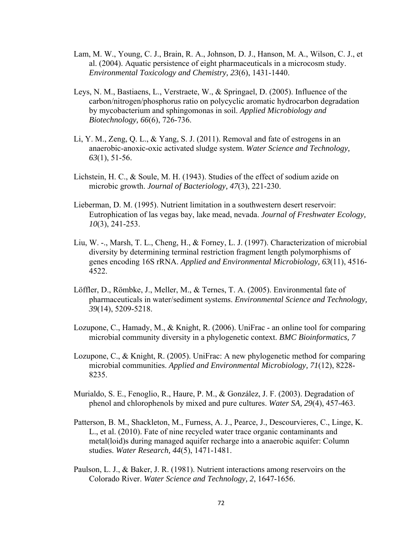- Lam, M. W., Young, C. J., Brain, R. A., Johnson, D. J., Hanson, M. A., Wilson, C. J., et al. (2004). Aquatic persistence of eight pharmaceuticals in a microcosm study. *Environmental Toxicology and Chemistry, 23*(6), 1431-1440.
- Leys, N. M., Bastiaens, L., Verstraete, W., & Springael, D. (2005). Influence of the carbon/nitrogen/phosphorus ratio on polycyclic aromatic hydrocarbon degradation by mycobacterium and sphingomonas in soil. *Applied Microbiology and Biotechnology, 66*(6), 726-736.
- Li, Y. M., Zeng, Q. L., & Yang, S. J. (2011). Removal and fate of estrogens in an anaerobic-anoxic-oxic activated sludge system. *Water Science and Technology, 63*(1), 51-56.
- Lichstein, H. C., & Soule, M. H. (1943). Studies of the effect of sodium azide on microbic growth. *Journal of Bacteriology, 47*(3), 221-230.
- Lieberman, D. M. (1995). Nutrient limitation in a southwestern desert reservoir: Eutrophication of las vegas bay, lake mead, nevada. *Journal of Freshwater Ecology, 10*(3), 241-253.
- Liu, W. -., Marsh, T. L., Cheng, H., & Forney, L. J. (1997). Characterization of microbial diversity by determining terminal restriction fragment length polymorphisms of genes encoding 16S rRNA. *Applied and Environmental Microbiology, 63*(11), 4516- 4522.
- Löffler, D., Römbke, J., Meller, M., & Ternes, T. A. (2005). Environmental fate of pharmaceuticals in water/sediment systems. *Environmental Science and Technology, 39*(14), 5209-5218.
- Lozupone, C., Hamady, M., & Knight, R. (2006). UniFrac an online tool for comparing microbial community diversity in a phylogenetic context. *BMC Bioinformatics, 7*
- Lozupone, C., & Knight, R. (2005). UniFrac: A new phylogenetic method for comparing microbial communities. *Applied and Environmental Microbiology, 71*(12), 8228- 8235.
- Murialdo, S. E., Fenoglio, R., Haure, P. M., & González, J. F. (2003). Degradation of phenol and chlorophenols by mixed and pure cultures. *Water SA, 29*(4), 457-463.
- Patterson, B. M., Shackleton, M., Furness, A. J., Pearce, J., Descourvieres, C., Linge, K. L., et al. (2010). Fate of nine recycled water trace organic contaminants and metal(loid)s during managed aquifer recharge into a anaerobic aquifer: Column studies. *Water Research, 44*(5), 1471-1481.
- Paulson, L. J., & Baker, J. R. (1981). Nutrient interactions among reservoirs on the Colorado River. *Water Science and Technology, 2*, 1647-1656.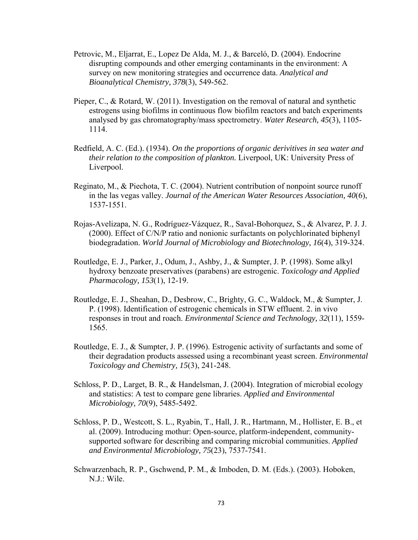- Petrovic, M., Eljarrat, E., Lopez De Alda, M. J., & Barceló, D. (2004). Endocrine disrupting compounds and other emerging contaminants in the environment: A survey on new monitoring strategies and occurrence data. *Analytical and Bioanalytical Chemistry, 378*(3), 549-562.
- Pieper, C., & Rotard, W. (2011). Investigation on the removal of natural and synthetic estrogens using biofilms in continuous flow biofilm reactors and batch experiments analysed by gas chromatography/mass spectrometry. *Water Research, 45*(3), 1105- 1114.
- Redfield, A. C. (Ed.). (1934). *On the proportions of organic derivitives in sea water and their relation to the composition of plankton.* Liverpool, UK: University Press of Liverpool.
- Reginato, M., & Piechota, T. C. (2004). Nutrient contribution of nonpoint source runoff in the las vegas valley. *Journal of the American Water Resources Association, 40*(6), 1537-1551.
- Rojas-Avelizapa, N. G., Rodríguez-Vázquez, R., Saval-Bohorquez, S., & Alvarez, P. J. J. (2000). Effect of C/N/P ratio and nonionic surfactants on polychlorinated biphenyl biodegradation. *World Journal of Microbiology and Biotechnology, 16*(4), 319-324.
- Routledge, E. J., Parker, J., Odum, J., Ashby, J., & Sumpter, J. P. (1998). Some alkyl hydroxy benzoate preservatives (parabens) are estrogenic. *Toxicology and Applied Pharmacology, 153*(1), 12-19.
- Routledge, E. J., Sheahan, D., Desbrow, C., Brighty, G. C., Waldock, M., & Sumpter, J. P. (1998). Identification of estrogenic chemicals in STW effluent. 2. in vivo responses in trout and roach. *Environmental Science and Technology, 32*(11), 1559- 1565.
- Routledge, E. J., & Sumpter, J. P. (1996). Estrogenic activity of surfactants and some of their degradation products assessed using a recombinant yeast screen. *Environmental Toxicology and Chemistry, 15*(3), 241-248.
- Schloss, P. D., Larget, B. R., & Handelsman, J. (2004). Integration of microbial ecology and statistics: A test to compare gene libraries. *Applied and Environmental Microbiology, 70*(9), 5485-5492.
- Schloss, P. D., Westcott, S. L., Ryabin, T., Hall, J. R., Hartmann, M., Hollister, E. B., et al. (2009). Introducing mothur: Open-source, platform-independent, communitysupported software for describing and comparing microbial communities. *Applied and Environmental Microbiology, 75*(23), 7537-7541.
- Schwarzenbach, R. P., Gschwend, P. M., & Imboden, D. M. (Eds.). (2003). Hoboken, N.J.: Wile.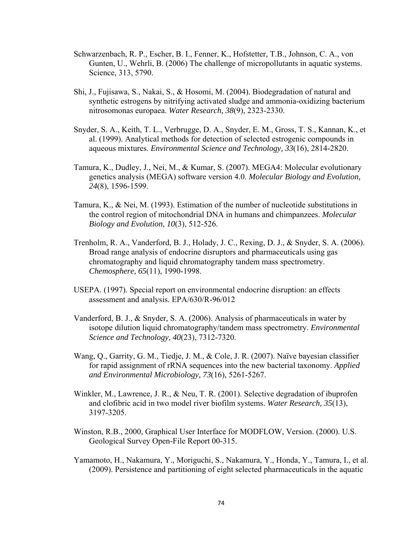- Schwarzenbach, R. P., Escher, B. I., Fenner, K., Hofstetter, T.B., Johnson, C. A., von Gunten, U., Wehrli, B. (2006) The challenge of micropollutants in aquatic systems. Science, 313, 5790.
- Shi, J., Fujisawa, S., Nakai, S., & Hosomi, M. (2004). Biodegradation of natural and synthetic estrogens by nitrifying activated sludge and ammonia-oxidizing bacterium nitrosomonas europaea. *Water Research, 38*(9), 2323-2330.
- Snyder, S. A., Keith, T. L., Verbrugge, D. A., Snyder, E. M., Gross, T. S., Kannan, K., et al. (1999). Analytical methods for detection of selected estrogenic compounds in aqueous mixtures. *Environmental Science and Technology, 33*(16), 2814-2820.
- Tamura, K., Dudley, J., Nei, M., & Kumar, S. (2007). MEGA4: Molecular evolutionary genetics analysis (MEGA) software version 4.0. *Molecular Biology and Evolution, 24*(8), 1596-1599.
- Tamura, K., & Nei, M. (1993). Estimation of the number of nucleotide substitutions in the control region of mitochondrial DNA in humans and chimpanzees. *Molecular Biology and Evolution, 10*(3), 512-526.
- Trenholm, R. A., Vanderford, B. J., Holady, J. C., Rexing, D. J., & Snyder, S. A. (2006). Broad range analysis of endocrine disruptors and pharmaceuticals using gas chromatography and liquid chromatography tandem mass spectrometry. *Chemosphere, 65*(11), 1990-1998.
- USEPA. (1997). Special report on environmental endocrine disruption: an effects assessment and analysis. EPA/630/R-96/012
- Vanderford, B. J., & Snyder, S. A. (2006). Analysis of pharmaceuticals in water by isotope dilution liquid chromatography/tandem mass spectrometry. *Environmental Science and Technology, 40*(23), 7312-7320.
- Wang, Q., Garrity, G. M., Tiedje, J. M., & Cole, J. R. (2007). Naïve bayesian classifier for rapid assignment of rRNA sequences into the new bacterial taxonomy. *Applied and Environmental Microbiology, 73*(16), 5261-5267.
- Winkler, M., Lawrence, J. R., & Neu, T. R. (2001). Selective degradation of ibuprofen and clofibric acid in two model river biofilm systems. *Water Research, 35*(13), 3197-3205.
- Winston, R.B., 2000, Graphical User Interface for MODFLOW, Version. (2000). U.S. Geological Survey Open-File Report 00-315.
- Yamamoto, H., Nakamura, Y., Moriguchi, S., Nakamura, Y., Honda, Y., Tamura, I., et al. (2009). Persistence and partitioning of eight selected pharmaceuticals in the aquatic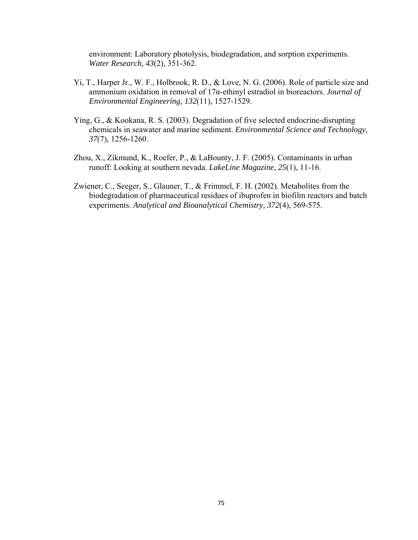environment: Laboratory photolysis, biodegradation, and sorption experiments. *Water Research, 43*(2), 351-362.

- Yi, T., Harper Jr., W. F., Holbrook, R. D., & Love, N. G. (2006). Role of particle size and ammonium oxidation in removal of 17α-ethinyl estradiol in bioreactors. *Journal of Environmental Engineering, 132*(11), 1527-1529.
- Ying, G., & Kookana, R. S. (2003). Degradation of five selected endocrine-disrupting chemicals in seawater and marine sediment. *Environmental Science and Technology, 37*(7), 1256-1260.
- Zhou, X., Zikmund, K., Roefer, P., & LaBounty, J. F. (2005). Contaminants in urban runoff: Looking at southern nevada. *LakeLine Magazine, 25*(1), 11-16.
- Zwiener, C., Seeger, S., Glauner, T., & Frimmel, F. H. (2002). Metabolites from the biodegradation of pharmaceutical residues of ibuprofen in biofilm reactors and batch experiments. *Analytical and Bioanalytical Chemistry, 372*(4), 569-575.